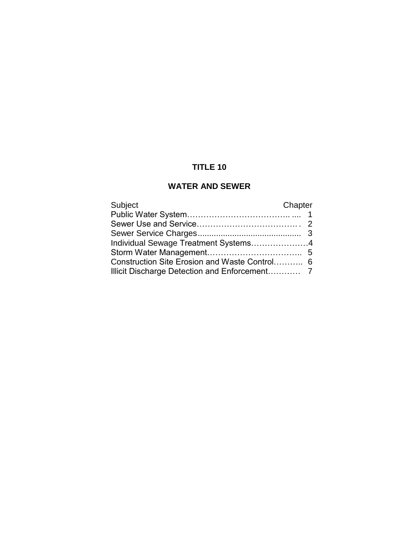# **TITLE 10**

## **WATER AND SEWER**

| Subject                                       | Chapter |
|-----------------------------------------------|---------|
|                                               |         |
|                                               |         |
|                                               |         |
| Individual Sewage Treatment Systems4          |         |
|                                               |         |
| Construction Site Erosion and Waste Control 6 |         |
|                                               |         |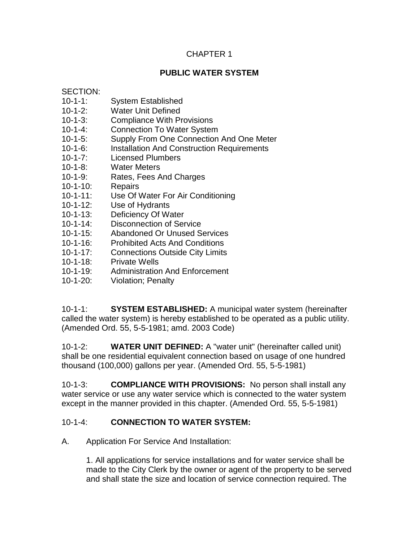## CHAPTER 1

## **PUBLIC WATER SYSTEM**

SECTION:

- 10-1-1: System Established
- 10-1-2: Water Unit Defined
- 10-1-3: Compliance With Provisions
- 10-1-4: Connection To Water System
- 10-1-5: Supply From One Connection And One Meter
- 10-1-6: Installation And Construction Requirements
- 10-1-7: Licensed Plumbers
- 10-1-8: Water Meters
- 10-1-9: Rates, Fees And Charges
- 10-1-10: Repairs
- 10-1-11: Use Of Water For Air Conditioning
- 10-1-12: Use of Hydrants
- 10-1-13: Deficiency Of Water
- 10-1-14: Disconnection of Service
- 10-1-15: Abandoned Or Unused Services
- 10-1-16: Prohibited Acts And Conditions
- 10-1-17: Connections Outside City Limits
- 10-1-18: Private Wells
- 10-1-19: Administration And Enforcement
- 10-1-20: Violation; Penalty

10-1-1: **SYSTEM ESTABLISHED:** A municipal water system (hereinafter called the water system) is hereby established to be operated as a public utility. (Amended Ord. 55, 5-5-1981; amd. 2003 Code)

10-1-2: **WATER UNIT DEFINED:** A "water unit" (hereinafter called unit) shall be one residential equivalent connection based on usage of one hundred thousand (100,000) gallons per year. (Amended Ord. 55, 5-5-1981)

10-1-3: **COMPLIANCE WITH PROVISIONS:** No person shall install any water service or use any water service which is connected to the water system except in the manner provided in this chapter. (Amended Ord. 55, 5-5-1981)

## 10-1-4: **CONNECTION TO WATER SYSTEM:**

A. Application For Service And Installation:

1. All applications for service installations and for water service shall be made to the City Clerk by the owner or agent of the property to be served and shall state the size and location of service connection required. The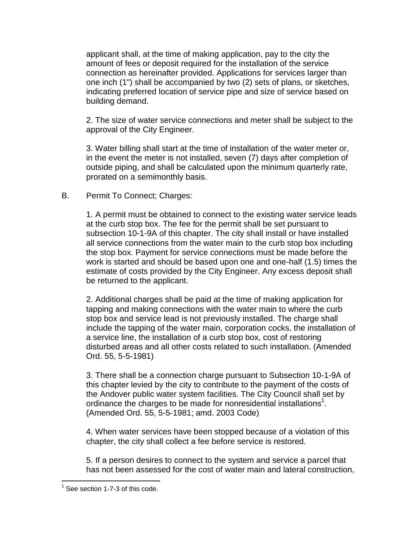applicant shall, at the time of making application, pay to the city the amount of fees or deposit required for the installation of the service connection as hereinafter provided. Applications for services larger than one inch (1") shall be accompanied by two (2) sets of plans, or sketches, indicating preferred location of service pipe and size of service based on building demand.

2. The size of water service connections and meter shall be subject to the approval of the City Engineer.

3. Water billing shall start at the time of installation of the water meter or, in the event the meter is not installed, seven (7) days after completion of outside piping, and shall be calculated upon the minimum quarterly rate, prorated on a semimonthly basis.

### B. Permit To Connect; Charges:

1. A permit must be obtained to connect to the existing water service leads at the curb stop box. The fee for the permit shall be set pursuant to subsection 10-1-9A of this chapter. The city shall install or have installed all service connections from the water main to the curb stop box including the stop box. Payment for service connections must be made before the work is started and should be based upon one and one-half (1.5) times the estimate of costs provided by the City Engineer. Any excess deposit shall be returned to the applicant.

2. Additional charges shall be paid at the time of making application for tapping and making connections with the water main to where the curb stop box and service lead is not previously installed. The charge shall include the tapping of the water main, corporation cocks, the installation of a service line, the installation of a curb stop box, cost of restoring disturbed areas and all other costs related to such installation. (Amended Ord. 55, 5-5-1981)

3. There shall be a connection charge pursuant to Subsection 10-1-9A of this chapter levied by the city to contribute to the payment of the costs of the Andover public water system facilities. The City Council shall set by ordinance the charges to be made for nonresidential installations<sup>1</sup>. (Amended Ord. 55, 5-5-1981; amd. 2003 Code)

4. When water services have been stopped because of a violation of this chapter, the city shall collect a fee before service is restored.

5. If a person desires to connect to the system and service a parcel that has not been assessed for the cost of water main and lateral construction,

 $1$  See section 1-7-3 of this code.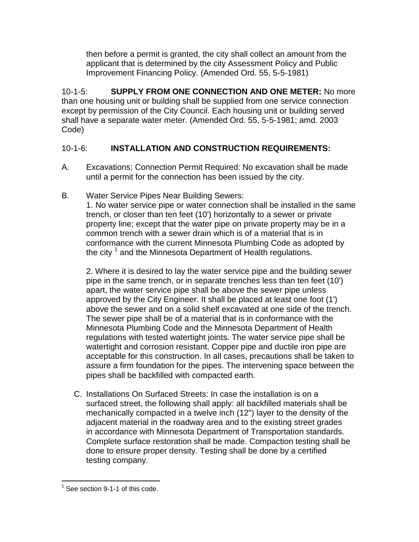then before a permit is granted, the city shall collect an amount from the applicant that is determined by the city Assessment Policy and Public Improvement Financing Policy. (Amended Ord. 55, 5-5-1981)

10-1-5: **SUPPLY FROM ONE CONNECTION AND ONE METER:** No more than one housing unit or building shall be supplied from one service connection except by permission of the City Council. Each housing unit or building served shall have a separate water meter. (Amended Ord. 55, 5-5-1981; amd. 2003 Code)

# 10-1-6: **INSTALLATION AND CONSTRUCTION REQUIREMENTS:**

- A. Excavations; Connection Permit Required: No excavation shall be made until a permit for the connection has been issued by the city.
- B. Water Service Pipes Near Building Sewers:

1. No water service pipe or water connection shall be installed in the same trench, or closer than ten feet (10') horizontally to a sewer or private property line; except that the water pipe on private property may be in a common trench with a sewer drain which is of a material that is in conformance with the current Minnesota Plumbing Code as adopted by the city <sup>1</sup> and the Minnesota Department of Health regulations.

2. Where it is desired to lay the water service pipe and the building sewer pipe in the same trench, or in separate trenches less than ten feet (10') apart, the water service pipe shall be above the sewer pipe unless approved by the City Engineer. It shall be placed at least one foot (1') above the sewer and on a solid shelf excavated at one side of the trench. The sewer pipe shall be of a material that is in conformance with the Minnesota Plumbing Code and the Minnesota Department of Health regulations with tested watertight joints. The water service pipe shall be watertight and corrosion resistant. Copper pipe and ductile iron pipe are acceptable for this construction. In all cases, precautions shall be taken to assure a firm foundation for the pipes. The intervening space between the pipes shall be backfilled with compacted earth.

C. Installations On Surfaced Streets: In case the installation is on a surfaced street, the following shall apply: all backfilled materials shall be mechanically compacted in a twelve inch (12") layer to the density of the adjacent material in the roadway area and to the existing street grades in accordance with Minnesota Department of Transportation standards. Complete surface restoration shall be made. Compaction testing shall be done to ensure proper density. Testing shall be done by a certified testing company.

 $\overline{a}$  $1$  See section 9-1-1 of this code.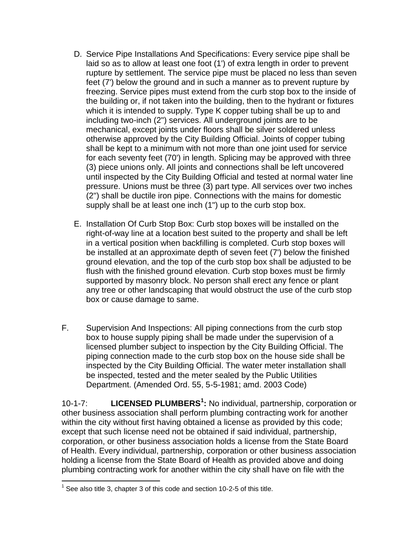- D. Service Pipe Installations And Specifications: Every service pipe shall be laid so as to allow at least one foot (1') of extra length in order to prevent rupture by settlement. The service pipe must be placed no less than seven feet (7') below the ground and in such a manner as to prevent rupture by freezing. Service pipes must extend from the curb stop box to the inside of the building or, if not taken into the building, then to the hydrant or fixtures which it is intended to supply. Type K copper tubing shall be up to and including two-inch (2") services. All underground joints are to be mechanical, except joints under floors shall be silver soldered unless otherwise approved by the City Building Official. Joints of copper tubing shall be kept to a minimum with not more than one joint used for service for each seventy feet (70') in length. Splicing may be approved with three (3) piece unions only. All joints and connections shall be left uncovered until inspected by the City Building Official and tested at normal water line pressure. Unions must be three (3) part type. All services over two inches (2") shall be ductile iron pipe. Connections with the mains for domestic supply shall be at least one inch (1") up to the curb stop box.
- E. Installation Of Curb Stop Box: Curb stop boxes will be installed on the right-of-way line at a location best suited to the property and shall be left in a vertical position when backfilling is completed. Curb stop boxes will be installed at an approximate depth of seven feet (7') below the finished ground elevation, and the top of the curb stop box shall be adjusted to be flush with the finished ground elevation. Curb stop boxes must be firmly supported by masonry block. No person shall erect any fence or plant any tree or other landscaping that would obstruct the use of the curb stop box or cause damage to same.
- F. Supervision And Inspections: All piping connections from the curb stop box to house supply piping shall be made under the supervision of a licensed plumber subject to inspection by the City Building Official. The piping connection made to the curb stop box on the house side shall be inspected by the City Building Official. The water meter installation shall be inspected, tested and the meter sealed by the Public Utilities Department. (Amended Ord. 55, 5-5-1981; amd. 2003 Code)

10-1-7: **LICENSED PLUMBERS<sup>1</sup> :** No individual, partnership, corporation or other business association shall perform plumbing contracting work for another within the city without first having obtained a license as provided by this code; except that such license need not be obtained if said individual, partnership, corporation, or other business association holds a license from the State Board of Health. Every individual, partnership, corporation or other business association holding a license from the State Board of Health as provided above and doing plumbing contracting work for another within the city shall have on file with the

 $1$  See also title 3, chapter 3 of this code and section 10-2-5 of this title.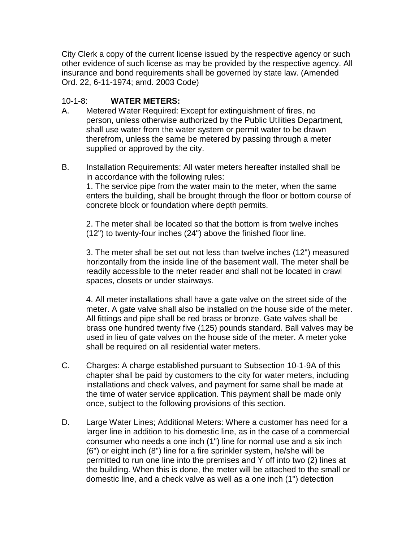City Clerk a copy of the current license issued by the respective agency or such other evidence of such license as may be provided by the respective agency. All insurance and bond requirements shall be governed by state law. (Amended Ord. 22, 6-11-1974; amd. 2003 Code)

### 10-1-8: **WATER METERS:**

- A. Metered Water Required: Except for extinguishment of fires, no person, unless otherwise authorized by the Public Utilities Department, shall use water from the water system or permit water to be drawn therefrom, unless the same be metered by passing through a meter supplied or approved by the city.
- B. Installation Requirements: All water meters hereafter installed shall be in accordance with the following rules:

1. The service pipe from the water main to the meter, when the same enters the building, shall be brought through the floor or bottom course of concrete block or foundation where depth permits.

2. The meter shall be located so that the bottom is from twelve inches (12") to twenty-four inches (24") above the finished floor line.

3. The meter shall be set out not less than twelve inches (12") measured horizontally from the inside line of the basement wall. The meter shall be readily accessible to the meter reader and shall not be located in crawl spaces, closets or under stairways.

4. All meter installations shall have a gate valve on the street side of the meter. A gate valve shall also be installed on the house side of the meter. All fittings and pipe shall be red brass or bronze. Gate valves shall be brass one hundred twenty five (125) pounds standard. Ball valves may be used in lieu of gate valves on the house side of the meter. A meter yoke shall be required on all residential water meters.

- C. Charges: A charge established pursuant to Subsection 10-1-9A of this chapter shall be paid by customers to the city for water meters, including installations and check valves, and payment for same shall be made at the time of water service application. This payment shall be made only once, subject to the following provisions of this section.
- D. Large Water Lines; Additional Meters: Where a customer has need for a larger line in addition to his domestic line, as in the case of a commercial consumer who needs a one inch (1") line for normal use and a six inch (6") or eight inch (8") line for a fire sprinkler system, he/she will be permitted to run one line into the premises and Y off into two (2) lines at the building. When this is done, the meter will be attached to the small or domestic line, and a check valve as well as a one inch (1") detection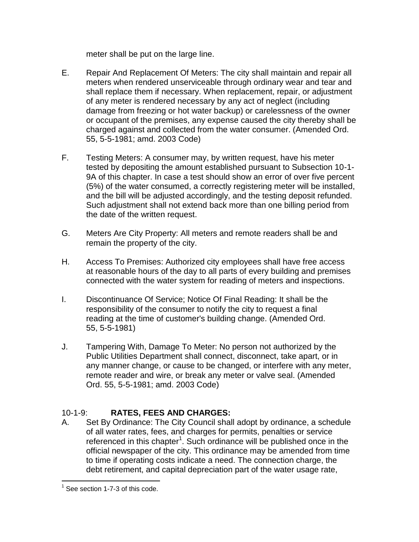meter shall be put on the large line.

- E. Repair And Replacement Of Meters: The city shall maintain and repair all meters when rendered unserviceable through ordinary wear and tear and shall replace them if necessary. When replacement, repair, or adjustment of any meter is rendered necessary by any act of neglect (including damage from freezing or hot water backup) or carelessness of the owner or occupant of the premises, any expense caused the city thereby shall be charged against and collected from the water consumer. (Amended Ord. 55, 5-5-1981; amd. 2003 Code)
- F. Testing Meters: A consumer may, by written request, have his meter tested by depositing the amount established pursuant to Subsection 10-1- 9A of this chapter. In case a test should show an error of over five percent (5%) of the water consumed, a correctly registering meter will be installed, and the bill will be adjusted accordingly, and the testing deposit refunded. Such adjustment shall not extend back more than one billing period from the date of the written request.
- G. Meters Are City Property: All meters and remote readers shall be and remain the property of the city.
- H. Access To Premises: Authorized city employees shall have free access at reasonable hours of the day to all parts of every building and premises connected with the water system for reading of meters and inspections.
- I. Discontinuance Of Service; Notice Of Final Reading: It shall be the responsibility of the consumer to notify the city to request a final reading at the time of customer's building change. (Amended Ord. 55, 5-5-1981)
- J. Tampering With, Damage To Meter: No person not authorized by the Public Utilities Department shall connect, disconnect, take apart, or in any manner change, or cause to be changed, or interfere with any meter, remote reader and wire, or break any meter or valve seal. (Amended Ord. 55, 5-5-1981; amd. 2003 Code)

# 10-1-9: **RATES, FEES AND CHARGES:**

A. Set By Ordinance: The City Council shall adopt by ordinance, a schedule of all water rates, fees, and charges for permits, penalties or service referenced in this chapter<sup>1</sup>. Such ordinance will be published once in the official newspaper of the city. This ordinance may be amended from time to time if operating costs indicate a need. The connection charge, the debt retirement, and capital depreciation part of the water usage rate,

 $\overline{a}$  $1$  See section 1-7-3 of this code.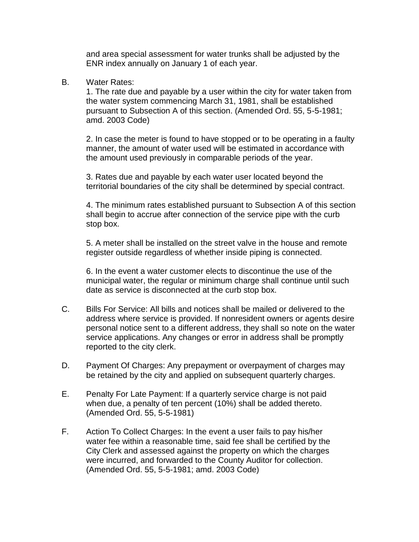and area special assessment for water trunks shall be adjusted by the ENR index annually on January 1 of each year.

B. Water Rates:

1. The rate due and payable by a user within the city for water taken from the water system commencing March 31, 1981, shall be established pursuant to Subsection A of this section. (Amended Ord. 55, 5-5-1981; amd. 2003 Code)

2. In case the meter is found to have stopped or to be operating in a faulty manner, the amount of water used will be estimated in accordance with the amount used previously in comparable periods of the year.

3. Rates due and payable by each water user located beyond the territorial boundaries of the city shall be determined by special contract.

4. The minimum rates established pursuant to Subsection A of this section shall begin to accrue after connection of the service pipe with the curb stop box.

5. A meter shall be installed on the street valve in the house and remote register outside regardless of whether inside piping is connected.

6. In the event a water customer elects to discontinue the use of the municipal water, the regular or minimum charge shall continue until such date as service is disconnected at the curb stop box.

- C. Bills For Service: All bills and notices shall be mailed or delivered to the address where service is provided. If nonresident owners or agents desire personal notice sent to a different address, they shall so note on the water service applications. Any changes or error in address shall be promptly reported to the city clerk.
- D. Payment Of Charges: Any prepayment or overpayment of charges may be retained by the city and applied on subsequent quarterly charges.
- E. Penalty For Late Payment: If a quarterly service charge is not paid when due, a penalty of ten percent (10%) shall be added thereto. (Amended Ord. 55, 5-5-1981)
- F. Action To Collect Charges: In the event a user fails to pay his/her water fee within a reasonable time, said fee shall be certified by the City Clerk and assessed against the property on which the charges were incurred, and forwarded to the County Auditor for collection. (Amended Ord. 55, 5-5-1981; amd. 2003 Code)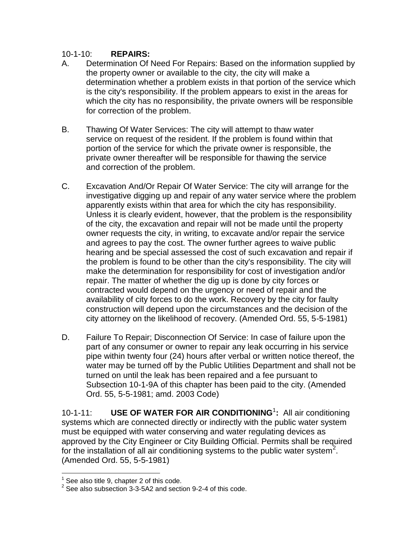### 10-1-10: **REPAIRS:**

- A. Determination Of Need For Repairs: Based on the information supplied by the property owner or available to the city, the city will make a determination whether a problem exists in that portion of the service which is the city's responsibility. If the problem appears to exist in the areas for which the city has no responsibility, the private owners will be responsible for correction of the problem.
- B. Thawing Of Water Services: The city will attempt to thaw water service on request of the resident. If the problem is found within that portion of the service for which the private owner is responsible, the private owner thereafter will be responsible for thawing the service and correction of the problem.
- C. Excavation And/Or Repair Of Water Service: The city will arrange for the investigative digging up and repair of any water service where the problem apparently exists within that area for which the city has responsibility. Unless it is clearly evident, however, that the problem is the responsibility of the city, the excavation and repair will not be made until the property owner requests the city, in writing, to excavate and/or repair the service and agrees to pay the cost. The owner further agrees to waive public hearing and be special assessed the cost of such excavation and repair if the problem is found to be other than the city's responsibility. The city will make the determination for responsibility for cost of investigation and/or repair. The matter of whether the dig up is done by city forces or contracted would depend on the urgency or need of repair and the availability of city forces to do the work. Recovery by the city for faulty construction will depend upon the circumstances and the decision of the city attorney on the likelihood of recovery. (Amended Ord. 55, 5-5-1981)
- D. Failure To Repair; Disconnection Of Service: In case of failure upon the part of any consumer or owner to repair any leak occurring in his service pipe within twenty four (24) hours after verbal or written notice thereof, the water may be turned off by the Public Utilities Department and shall not be turned on until the leak has been repaired and a fee pursuant to Subsection 10-1-9A of this chapter has been paid to the city. (Amended Ord. 55, 5-5-1981; amd. 2003 Code)

10-1-11: **USE OF WATER FOR AIR CONDITIONING**<sup>1</sup> **:** All air conditioning systems which are connected directly or indirectly with the public water system must be equipped with water conserving and water regulating devices as approved by the City Engineer or City Building Official. Permits shall be required for the installation of all air conditioning systems to the public water system<sup>2</sup>. (Amended Ord. 55, 5-5-1981)

<sup>1</sup> See also title 9, chapter 2 of this code.

 $2$  See also subsection 3-3-5A2 and section 9-2-4 of this code.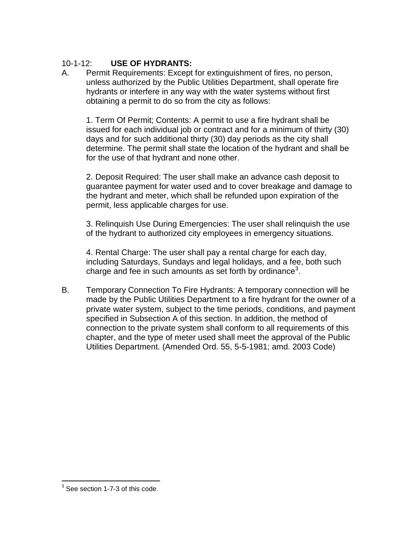## 10-1-12: **USE OF HYDRANTS:**

A. Permit Requirements: Except for extinguishment of fires, no person, unless authorized by the Public Utilities Department, shall operate fire hydrants or interfere in any way with the water systems without first obtaining a permit to do so from the city as follows:

1. Term Of Permit; Contents: A permit to use a fire hydrant shall be issued for each individual job or contract and for a minimum of thirty (30) days and for such additional thirty (30) day periods as the city shall determine. The permit shall state the location of the hydrant and shall be for the use of that hydrant and none other.

2. Deposit Required: The user shall make an advance cash deposit to guarantee payment for water used and to cover breakage and damage to the hydrant and meter, which shall be refunded upon expiration of the permit, less applicable charges for use.

3. Relinquish Use During Emergencies: The user shall relinquish the use of the hydrant to authorized city employees in emergency situations.

4. Rental Charge: The user shall pay a rental charge for each day, including Saturdays, Sundays and legal holidays, and a fee, both such charge and fee in such amounts as set forth by ordinance<sup>3</sup>.

B. Temporary Connection To Fire Hydrants: A temporary connection will be made by the Public Utilities Department to a fire hydrant for the owner of a private water system, subject to the time periods, conditions, and payment specified in Subsection A of this section. In addition, the method of connection to the private system shall conform to all requirements of this chapter, and the type of meter used shall meet the approval of the Public Utilities Department. (Amended Ord. 55, 5-5-1981; amd. 2003 Code)

 3 See section 1-7-3 of this code.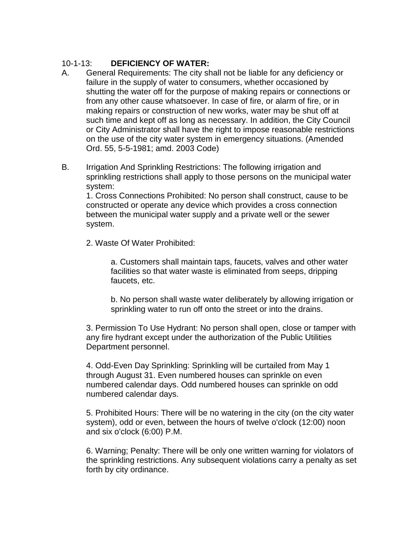## 10-1-13: **DEFICIENCY OF WATER:**

- A. General Requirements: The city shall not be liable for any deficiency or failure in the supply of water to consumers, whether occasioned by shutting the water off for the purpose of making repairs or connections or from any other cause whatsoever. In case of fire, or alarm of fire, or in making repairs or construction of new works, water may be shut off at such time and kept off as long as necessary. In addition, the City Council or City Administrator shall have the right to impose reasonable restrictions on the use of the city water system in emergency situations. (Amended Ord. 55, 5-5-1981; amd. 2003 Code)
- B. Irrigation And Sprinkling Restrictions: The following irrigation and sprinkling restrictions shall apply to those persons on the municipal water system:

1. Cross Connections Prohibited: No person shall construct, cause to be constructed or operate any device which provides a cross connection between the municipal water supply and a private well or the sewer system.

2. Waste Of Water Prohibited:

a. Customers shall maintain taps, faucets, valves and other water facilities so that water waste is eliminated from seeps, dripping faucets, etc.

b. No person shall waste water deliberately by allowing irrigation or sprinkling water to run off onto the street or into the drains.

3. Permission To Use Hydrant: No person shall open, close or tamper with any fire hydrant except under the authorization of the Public Utilities Department personnel.

4. Odd-Even Day Sprinkling: Sprinkling will be curtailed from May 1 through August 31. Even numbered houses can sprinkle on even numbered calendar days. Odd numbered houses can sprinkle on odd numbered calendar days.

5. Prohibited Hours: There will be no watering in the city (on the city water system), odd or even, between the hours of twelve o'clock (12:00) noon and six o'clock (6:00) P.M.

6. Warning; Penalty: There will be only one written warning for violators of the sprinkling restrictions. Any subsequent violations carry a penalty as set forth by city ordinance.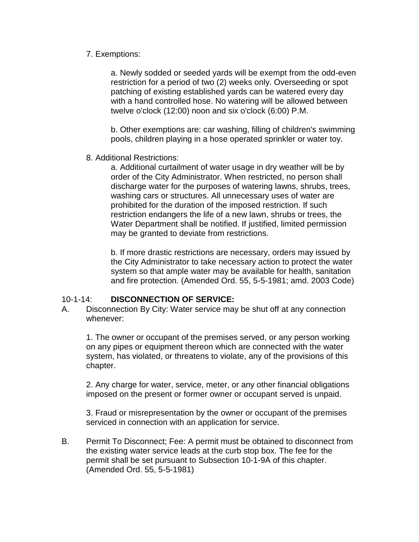### 7. Exemptions:

a. Newly sodded or seeded yards will be exempt from the odd-even restriction for a period of two (2) weeks only. Overseeding or spot patching of existing established yards can be watered every day with a hand controlled hose. No watering will be allowed between twelve o'clock (12:00) noon and six o'clock (6:00) P.M.

b. Other exemptions are: car washing, filling of children's swimming pools, children playing in a hose operated sprinkler or water toy.

8. Additional Restrictions:

a. Additional curtailment of water usage in dry weather will be by order of the City Administrator. When restricted, no person shall discharge water for the purposes of watering lawns, shrubs, trees, washing cars or structures. All unnecessary uses of water are prohibited for the duration of the imposed restriction. If such restriction endangers the life of a new lawn, shrubs or trees, the Water Department shall be notified. If justified, limited permission may be granted to deviate from restrictions.

b. If more drastic restrictions are necessary, orders may issued by the City Administrator to take necessary action to protect the water system so that ample water may be available for health, sanitation and fire protection. (Amended Ord. 55, 5-5-1981; amd. 2003 Code)

## 10-1-14: **DISCONNECTION OF SERVICE:**

A. Disconnection By City: Water service may be shut off at any connection whenever:

1. The owner or occupant of the premises served, or any person working on any pipes or equipment thereon which are connected with the water system, has violated, or threatens to violate, any of the provisions of this chapter.

2. Any charge for water, service, meter, or any other financial obligations imposed on the present or former owner or occupant served is unpaid.

3. Fraud or misrepresentation by the owner or occupant of the premises serviced in connection with an application for service.

B. Permit To Disconnect; Fee: A permit must be obtained to disconnect from the existing water service leads at the curb stop box. The fee for the permit shall be set pursuant to Subsection 10-1-9A of this chapter. (Amended Ord. 55, 5-5-1981)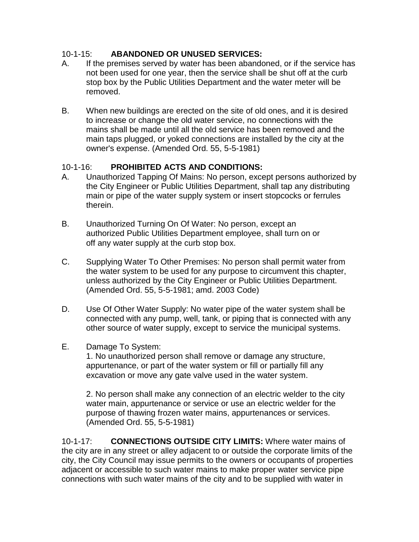## 10-1-15: **ABANDONED OR UNUSED SERVICES:**

- A. If the premises served by water has been abandoned, or if the service has not been used for one year, then the service shall be shut off at the curb stop box by the Public Utilities Department and the water meter will be removed.
- B. When new buildings are erected on the site of old ones, and it is desired to increase or change the old water service, no connections with the mains shall be made until all the old service has been removed and the main taps plugged, or yoked connections are installed by the city at the owner's expense. (Amended Ord. 55, 5-5-1981)

## 10-1-16: **PROHIBITED ACTS AND CONDITIONS:**

- A. Unauthorized Tapping Of Mains: No person, except persons authorized by the City Engineer or Public Utilities Department, shall tap any distributing main or pipe of the water supply system or insert stopcocks or ferrules therein.
- B. Unauthorized Turning On Of Water: No person, except an authorized Public Utilities Department employee, shall turn on or off any water supply at the curb stop box.
- C. Supplying Water To Other Premises: No person shall permit water from the water system to be used for any purpose to circumvent this chapter, unless authorized by the City Engineer or Public Utilities Department. (Amended Ord. 55, 5-5-1981; amd. 2003 Code)
- D. Use Of Other Water Supply: No water pipe of the water system shall be connected with any pump, well, tank, or piping that is connected with any other source of water supply, except to service the municipal systems.
- E. Damage To System:

1. No unauthorized person shall remove or damage any structure, appurtenance, or part of the water system or fill or partially fill any excavation or move any gate valve used in the water system.

2. No person shall make any connection of an electric welder to the city water main, appurtenance or service or use an electric welder for the purpose of thawing frozen water mains, appurtenances or services. (Amended Ord. 55, 5-5-1981)

10-1-17: **CONNECTIONS OUTSIDE CITY LIMITS:** Where water mains of the city are in any street or alley adjacent to or outside the corporate limits of the city, the City Council may issue permits to the owners or occupants of properties adjacent or accessible to such water mains to make proper water service pipe connections with such water mains of the city and to be supplied with water in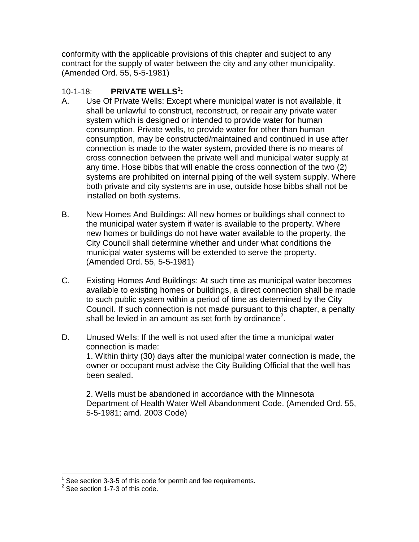conformity with the applicable provisions of this chapter and subject to any contract for the supply of water between the city and any other municipality. (Amended Ord. 55, 5-5-1981)

# 10-1-18: **PRIVATE WELLS<sup>1</sup> :**

- A. Use Of Private Wells: Except where municipal water is not available, it shall be unlawful to construct, reconstruct, or repair any private water system which is designed or intended to provide water for human consumption. Private wells, to provide water for other than human consumption, may be constructed/maintained and continued in use after connection is made to the water system, provided there is no means of cross connection between the private well and municipal water supply at any time. Hose bibbs that will enable the cross connection of the two (2) systems are prohibited on internal piping of the well system supply. Where both private and city systems are in use, outside hose bibbs shall not be installed on both systems.
- B. New Homes And Buildings: All new homes or buildings shall connect to the municipal water system if water is available to the property. Where new homes or buildings do not have water available to the property, the City Council shall determine whether and under what conditions the municipal water systems will be extended to serve the property. (Amended Ord. 55, 5-5-1981)
- C. Existing Homes And Buildings: At such time as municipal water becomes available to existing homes or buildings, a direct connection shall be made to such public system within a period of time as determined by the City Council. If such connection is not made pursuant to this chapter, a penalty shall be levied in an amount as set forth by ordinance<sup>2</sup>.
- D. Unused Wells: If the well is not used after the time a municipal water connection is made: 1. Within thirty (30) days after the municipal water connection is made, the owner or occupant must advise the City Building Official that the well has been sealed.

2. Wells must be abandoned in accordance with the Minnesota Department of Health Water Well Abandonment Code. (Amended Ord. 55, 5-5-1981; amd. 2003 Code)

 1 See section 3-3-5 of this code for permit and fee requirements.

 $2$  See section 1-7-3 of this code.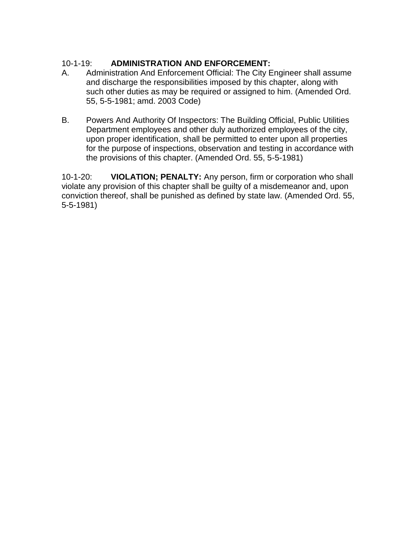## 10-1-19: **ADMINISTRATION AND ENFORCEMENT:**

- A. Administration And Enforcement Official: The City Engineer shall assume and discharge the responsibilities imposed by this chapter, along with such other duties as may be required or assigned to him. (Amended Ord. 55, 5-5-1981; amd. 2003 Code)
- B. Powers And Authority Of Inspectors: The Building Official, Public Utilities Department employees and other duly authorized employees of the city, upon proper identification, shall be permitted to enter upon all properties for the purpose of inspections, observation and testing in accordance with the provisions of this chapter. (Amended Ord. 55, 5-5-1981)

10-1-20: **VIOLATION; PENALTY:** Any person, firm or corporation who shall violate any provision of this chapter shall be guilty of a misdemeanor and, upon conviction thereof, shall be punished as defined by state law. (Amended Ord. 55, 5-5-1981)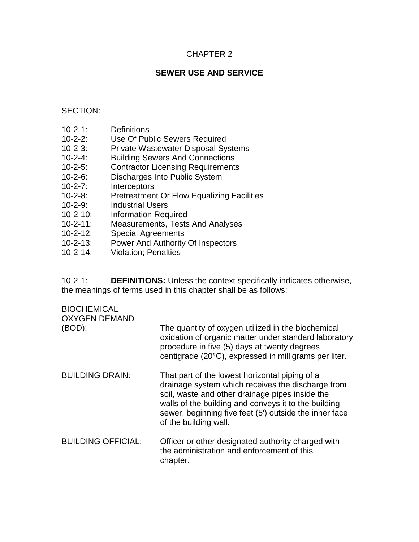## CHAPTER 2

## **SEWER USE AND SERVICE**

### SECTION:

- 10-2-1: Definitions
- 10-2-2: Use Of Public Sewers Required
- 10-2-3: Private Wastewater Disposal Systems
- 10-2-4: Building Sewers And Connections
- 10-2-5: Contractor Licensing Requirements
- 10-2-6: Discharges Into Public System
- 10-2-7: Interceptors
- 10-2-8: Pretreatment Or Flow Equalizing Facilities
- 10-2-9: Industrial Users
- 10-2-10: Information Required
- 10-2-11: Measurements, Tests And Analyses
- 10-2-12: Special Agreements
- 10-2-13: Power And Authority Of Inspectors
- 10-2-14: Violation; Penalties

10-2-1: **DEFINITIONS:** Unless the context specifically indicates otherwise, the meanings of terms used in this chapter shall be as follows:

## **BIOCHEMICAL**

| <b>OXYGEN DEMAND</b><br>(BOD): | The quantity of oxygen utilized in the biochemical<br>oxidation of organic matter under standard laboratory<br>procedure in five (5) days at twenty degrees<br>centigrade (20°C), expressed in milligrams per liter.                                                                              |
|--------------------------------|---------------------------------------------------------------------------------------------------------------------------------------------------------------------------------------------------------------------------------------------------------------------------------------------------|
| <b>BUILDING DRAIN:</b>         | That part of the lowest horizontal piping of a<br>drainage system which receives the discharge from<br>soil, waste and other drainage pipes inside the<br>walls of the building and conveys it to the building<br>sewer, beginning five feet (5') outside the inner face<br>of the building wall. |
| <b>BUILDING OFFICIAL:</b>      | Officer or other designated authority charged with<br>the administration and enforcement of this<br>chapter.                                                                                                                                                                                      |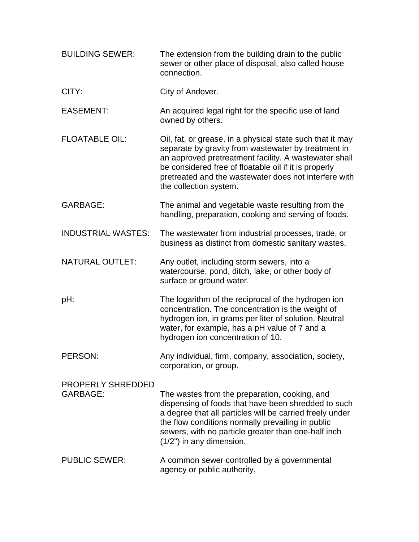| <b>BUILDING SEWER:</b>                      | The extension from the building drain to the public<br>sewer or other place of disposal, also called house<br>connection.                                                                                                                                                                                             |
|---------------------------------------------|-----------------------------------------------------------------------------------------------------------------------------------------------------------------------------------------------------------------------------------------------------------------------------------------------------------------------|
| CITY:                                       | City of Andover.                                                                                                                                                                                                                                                                                                      |
| <b>EASEMENT:</b>                            | An acquired legal right for the specific use of land<br>owned by others.                                                                                                                                                                                                                                              |
| <b>FLOATABLE OIL:</b>                       | Oil, fat, or grease, in a physical state such that it may<br>separate by gravity from wastewater by treatment in<br>an approved pretreatment facility. A wastewater shall<br>be considered free of floatable oil if it is properly<br>pretreated and the wastewater does not interfere with<br>the collection system. |
| <b>GARBAGE:</b>                             | The animal and vegetable waste resulting from the<br>handling, preparation, cooking and serving of foods.                                                                                                                                                                                                             |
| <b>INDUSTRIAL WASTES:</b>                   | The wastewater from industrial processes, trade, or<br>business as distinct from domestic sanitary wastes.                                                                                                                                                                                                            |
| <b>NATURAL OUTLET:</b>                      | Any outlet, including storm sewers, into a<br>watercourse, pond, ditch, lake, or other body of<br>surface or ground water.                                                                                                                                                                                            |
| pH:                                         | The logarithm of the reciprocal of the hydrogen ion<br>concentration. The concentration is the weight of<br>hydrogen ion, in grams per liter of solution. Neutral<br>water, for example, has a pH value of 7 and a<br>hydrogen ion concentration of 10.                                                               |
| PERSON:                                     | Any individual, firm, company, association, society,<br>corporation, or group.                                                                                                                                                                                                                                        |
| <b>PROPERLY SHREDDED</b><br><b>GARBAGE:</b> | The wastes from the preparation, cooking, and<br>dispensing of foods that have been shredded to such<br>a degree that all particles will be carried freely under<br>the flow conditions normally prevailing in public<br>sewers, with no particle greater than one-half inch<br>(1/2") in any dimension.              |
| <b>PUBLIC SEWER:</b>                        | A common sewer controlled by a governmental<br>agency or public authority.                                                                                                                                                                                                                                            |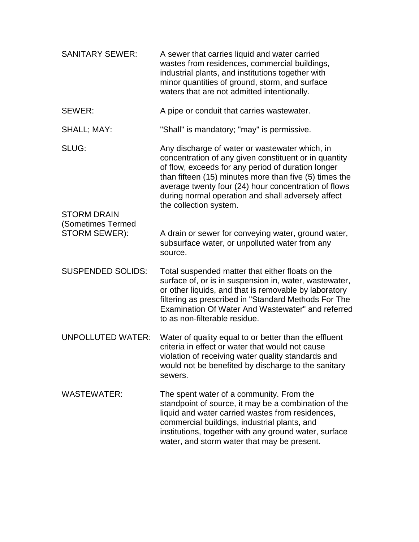| <b>SANITARY SEWER:</b>                                   | A sewer that carries liquid and water carried<br>wastes from residences, commercial buildings,<br>industrial plants, and institutions together with<br>minor quantities of ground, storm, and surface<br>waters that are not admitted intentionally.                                                                                                            |
|----------------------------------------------------------|-----------------------------------------------------------------------------------------------------------------------------------------------------------------------------------------------------------------------------------------------------------------------------------------------------------------------------------------------------------------|
| SEWER:                                                   | A pipe or conduit that carries wastewater.                                                                                                                                                                                                                                                                                                                      |
| SHALL; MAY:                                              | "Shall" is mandatory; "may" is permissive.                                                                                                                                                                                                                                                                                                                      |
| SLUG:                                                    | Any discharge of water or wastewater which, in<br>concentration of any given constituent or in quantity<br>of flow, exceeds for any period of duration longer<br>than fifteen (15) minutes more than five (5) times the<br>average twenty four (24) hour concentration of flows<br>during normal operation and shall adversely affect<br>the collection system. |
| <b>STORM DRAIN</b><br>(Sometimes Termed<br>STORM SEWER): | A drain or sewer for conveying water, ground water,<br>subsurface water, or unpolluted water from any<br>source.                                                                                                                                                                                                                                                |
| <b>SUSPENDED SOLIDS:</b>                                 | Total suspended matter that either floats on the<br>surface of, or is in suspension in, water, wastewater,<br>or other liquids, and that is removable by laboratory<br>filtering as prescribed in "Standard Methods For The<br>Examination Of Water And Wastewater" and referred<br>to as non-filterable residue.                                               |
| <b>UNPOLLUTED WATER:</b>                                 | Water of quality equal to or better than the effluent<br>criteria in effect or water that would not cause<br>violation of receiving water quality standards and<br>would not be benefited by discharge to the sanitary<br>sewers.                                                                                                                               |
| <b>WASTEWATER:</b>                                       | The spent water of a community. From the<br>standpoint of source, it may be a combination of the<br>liquid and water carried wastes from residences,<br>commercial buildings, industrial plants, and<br>institutions, together with any ground water, surface<br>water, and storm water that may be present.                                                    |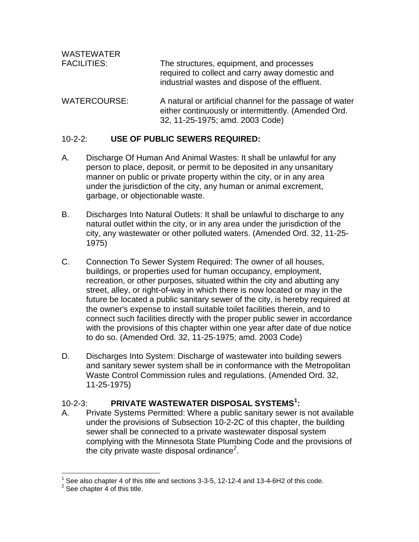| <b>WASTEWATER</b><br><b>FACILITIES:</b> | The structures, equipment, and processes<br>required to collect and carry away domestic and<br>industrial wastes and dispose of the effluent.       |
|-----------------------------------------|-----------------------------------------------------------------------------------------------------------------------------------------------------|
| <b>WATERCOURSE:</b>                     | A natural or artificial channel for the passage of water<br>either continuously or intermittently. (Amended Ord.<br>32, 11-25-1975; amd. 2003 Code) |

### 10-2-2: **USE OF PUBLIC SEWERS REQUIRED:**

- A. Discharge Of Human And Animal Wastes: It shall be unlawful for any person to place, deposit, or permit to be deposited in any unsanitary manner on public or private property within the city, or in any area under the jurisdiction of the city, any human or animal excrement, garbage, or objectionable waste.
- B. Discharges Into Natural Outlets: It shall be unlawful to discharge to any natural outlet within the city, or in any area under the jurisdiction of the city, any wastewater or other polluted waters. (Amended Ord. 32, 11-25- 1975)
- C. Connection To Sewer System Required: The owner of all houses, buildings, or properties used for human occupancy, employment, recreation, or other purposes, situated within the city and abutting any street, alley, or right-of-way in which there is now located or may in the future be located a public sanitary sewer of the city, is hereby required at the owner's expense to install suitable toilet facilities therein, and to connect such facilities directly with the proper public sewer in accordance with the provisions of this chapter within one year after date of due notice to do so. (Amended Ord. 32, 11-25-1975; amd. 2003 Code)
- D. Discharges Into System: Discharge of wastewater into building sewers and sanitary sewer system shall be in conformance with the Metropolitan Waste Control Commission rules and regulations. (Amended Ord. 32, 11-25-1975)

# 10-2-3: **PRIVATE WASTEWATER DISPOSAL SYSTEMS<sup>1</sup> :**

A. Private Systems Permitted: Where a public sanitary sewer is not available under the provisions of Subsection 10-2-2C of this chapter, the building sewer shall be connected to a private wastewater disposal system complying with the Minnesota State Plumbing Code and the provisions of the city private waste disposal ordinance<sup>2</sup>.

 $<sup>1</sup>$  See also chapter 4 of this title and sections 3-3-5, 12-12-4 and 13-4-6H2 of this code.</sup>

 $2$  See chapter 4 of this title.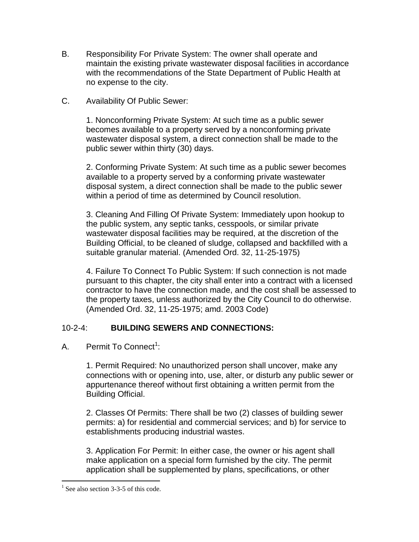- B. Responsibility For Private System: The owner shall operate and maintain the existing private wastewater disposal facilities in accordance with the recommendations of the State Department of Public Health at no expense to the city.
- C. Availability Of Public Sewer:

1. Nonconforming Private System: At such time as a public sewer becomes available to a property served by a nonconforming private wastewater disposal system, a direct connection shall be made to the public sewer within thirty (30) days.

2. Conforming Private System: At such time as a public sewer becomes available to a property served by a conforming private wastewater disposal system, a direct connection shall be made to the public sewer within a period of time as determined by Council resolution.

3. Cleaning And Filling Of Private System: Immediately upon hookup to the public system, any septic tanks, cesspools, or similar private wastewater disposal facilities may be required, at the discretion of the Building Official, to be cleaned of sludge, collapsed and backfilled with a suitable granular material. (Amended Ord. 32, 11-25-1975)

4. Failure To Connect To Public System: If such connection is not made pursuant to this chapter, the city shall enter into a contract with a licensed contractor to have the connection made, and the cost shall be assessed to the property taxes, unless authorized by the City Council to do otherwise. (Amended Ord. 32, 11-25-1975; amd. 2003 Code)

## 10-2-4: **BUILDING SEWERS AND CONNECTIONS:**

A. Permit To Connect<sup>1</sup>:

1. Permit Required: No unauthorized person shall uncover, make any connections with or opening into, use, alter, or disturb any public sewer or appurtenance thereof without first obtaining a written permit from the Building Official.

2. Classes Of Permits: There shall be two (2) classes of building sewer permits: a) for residential and commercial services; and b) for service to establishments producing industrial wastes.

3. Application For Permit: In either case, the owner or his agent shall make application on a special form furnished by the city. The permit application shall be supplemented by plans, specifications, or other

<sup>&</sup>lt;sup>1</sup> See also section 3-3-5 of this code.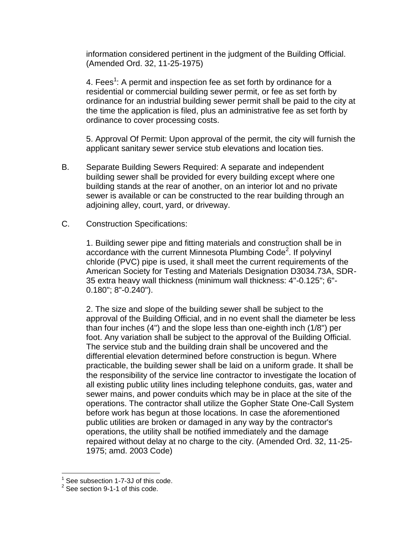information considered pertinent in the judgment of the Building Official. (Amended Ord. 32, 11-25-1975)

4. Fees<sup>1</sup>: A permit and inspection fee as set forth by ordinance for a residential or commercial building sewer permit, or fee as set forth by ordinance for an industrial building sewer permit shall be paid to the city at the time the application is filed, plus an administrative fee as set forth by ordinance to cover processing costs.

5. Approval Of Permit: Upon approval of the permit, the city will furnish the applicant sanitary sewer service stub elevations and location ties.

- B. Separate Building Sewers Required: A separate and independent building sewer shall be provided for every building except where one building stands at the rear of another, on an interior lot and no private sewer is available or can be constructed to the rear building through an adjoining alley, court, yard, or driveway.
- C. Construction Specifications:

1. Building sewer pipe and fitting materials and construction shall be in accordance with the current Minnesota Plumbing Code<sup>2</sup>. If polyvinyl chloride (PVC) pipe is used, it shall meet the current requirements of the American Society for Testing and Materials Designation D3034.73A, SDR-35 extra heavy wall thickness (minimum wall thickness: 4"-0.125"; 6"- 0.180"; 8"-0.240").

2. The size and slope of the building sewer shall be subject to the approval of the Building Official, and in no event shall the diameter be less than four inches (4") and the slope less than one-eighth inch (1/8") per foot. Any variation shall be subject to the approval of the Building Official. The service stub and the building drain shall be uncovered and the differential elevation determined before construction is begun. Where practicable, the building sewer shall be laid on a uniform grade. It shall be the responsibility of the service line contractor to investigate the location of all existing public utility lines including telephone conduits, gas, water and sewer mains, and power conduits which may be in place at the site of the operations. The contractor shall utilize the Gopher State One-Call System before work has begun at those locations. In case the aforementioned public utilities are broken or damaged in any way by the contractor's operations, the utility shall be notified immediately and the damage repaired without delay at no charge to the city. (Amended Ord. 32, 11-25- 1975; amd. 2003 Code)

<sup>1</sup> See subsection 1-7-3J of this code.

 $2$  See section 9-1-1 of this code.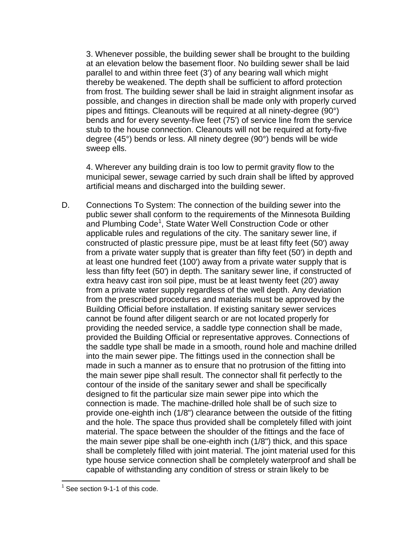3. Whenever possible, the building sewer shall be brought to the building at an elevation below the basement floor. No building sewer shall be laid parallel to and within three feet (3') of any bearing wall which might thereby be weakened. The depth shall be sufficient to afford protection from frost. The building sewer shall be laid in straight alignment insofar as possible, and changes in direction shall be made only with properly curved pipes and fittings. Cleanouts will be required at all ninety-degree (90°) bends and for every seventy-five feet (75') of service line from the service stub to the house connection. Cleanouts will not be required at forty-five degree (45°) bends or less. All ninety degree (90°) bends will be wide sweep ells.

4. Wherever any building drain is too low to permit gravity flow to the municipal sewer, sewage carried by such drain shall be lifted by approved artificial means and discharged into the building sewer.

D. Connections To System: The connection of the building sewer into the public sewer shall conform to the requirements of the Minnesota Building .<br>and Plumbing Code<sup>1</sup>, State Water Well Construction Code or other applicable rules and regulations of the city. The sanitary sewer line, if constructed of plastic pressure pipe, must be at least fifty feet (50') away from a private water supply that is greater than fifty feet (50') in depth and at least one hundred feet (100') away from a private water supply that is less than fifty feet (50') in depth. The sanitary sewer line, if constructed of extra heavy cast iron soil pipe, must be at least twenty feet (20') away from a private water supply regardless of the well depth. Any deviation from the prescribed procedures and materials must be approved by the Building Official before installation. If existing sanitary sewer services cannot be found after diligent search or are not located properly for providing the needed service, a saddle type connection shall be made, provided the Building Official or representative approves. Connections of the saddle type shall be made in a smooth, round hole and machine drilled into the main sewer pipe. The fittings used in the connection shall be made in such a manner as to ensure that no protrusion of the fitting into the main sewer pipe shall result. The connector shall fit perfectly to the contour of the inside of the sanitary sewer and shall be specifically designed to fit the particular size main sewer pipe into which the connection is made. The machine-drilled hole shall be of such size to provide one-eighth inch (1/8") clearance between the outside of the fitting and the hole. The space thus provided shall be completely filled with joint material. The space between the shoulder of the fittings and the face of the main sewer pipe shall be one-eighth inch (1/8") thick, and this space shall be completely filled with joint material. The joint material used for this type house service connection shall be completely waterproof and shall be capable of withstanding any condition of stress or strain likely to be

 $1$  See section 9-1-1 of this code.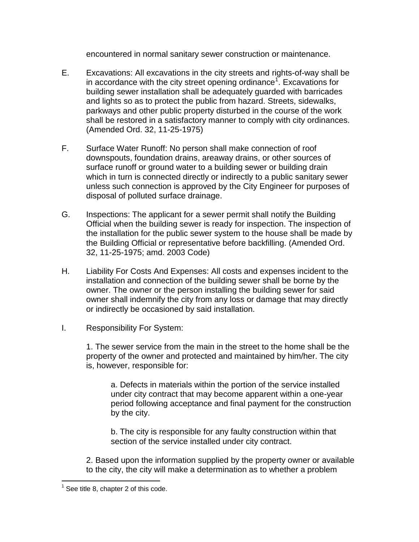encountered in normal sanitary sewer construction or maintenance.

- E. Excavations: All excavations in the city streets and rights-of-way shall be in accordance with the city street opening ordinance<sup>1</sup>. Excavations for building sewer installation shall be adequately guarded with barricades and lights so as to protect the public from hazard. Streets, sidewalks, parkways and other public property disturbed in the course of the work shall be restored in a satisfactory manner to comply with city ordinances. (Amended Ord. 32, 11-25-1975)
- F. Surface Water Runoff: No person shall make connection of roof downspouts, foundation drains, areaway drains, or other sources of surface runoff or ground water to a building sewer or building drain which in turn is connected directly or indirectly to a public sanitary sewer unless such connection is approved by the City Engineer for purposes of disposal of polluted surface drainage.
- G. Inspections: The applicant for a sewer permit shall notify the Building Official when the building sewer is ready for inspection. The inspection of the installation for the public sewer system to the house shall be made by the Building Official or representative before backfilling. (Amended Ord. 32, 11-25-1975; amd. 2003 Code)
- H. Liability For Costs And Expenses: All costs and expenses incident to the installation and connection of the building sewer shall be borne by the owner. The owner or the person installing the building sewer for said owner shall indemnify the city from any loss or damage that may directly or indirectly be occasioned by said installation.
- I. Responsibility For System:

1. The sewer service from the main in the street to the home shall be the property of the owner and protected and maintained by him/her. The city is, however, responsible for:

a. Defects in materials within the portion of the service installed under city contract that may become apparent within a one-year period following acceptance and final payment for the construction by the city.

b. The city is responsible for any faulty construction within that section of the service installed under city contract.

2. Based upon the information supplied by the property owner or available to the city, the city will make a determination as to whether a problem

 $<sup>1</sup>$  See title 8, chapter 2 of this code.</sup>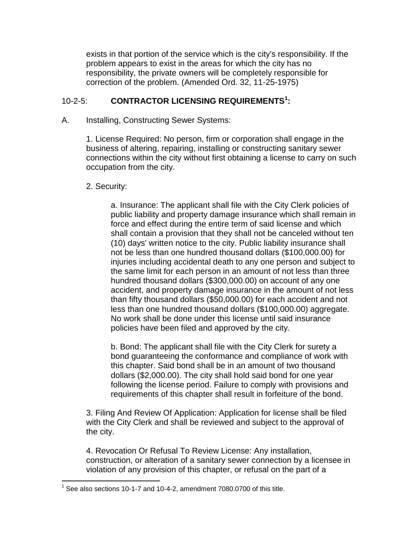exists in that portion of the service which is the city's responsibility. If the problem appears to exist in the areas for which the city has no responsibility, the private owners will be completely responsible for correction of the problem. (Amended Ord. 32, 11-25-1975)

## 10-2-5: **CONTRACTOR LICENSING REQUIREMENTS<sup>1</sup> :**

A. Installing, Constructing Sewer Systems:

1. License Required: No person, firm or corporation shall engage in the business of altering, repairing, installing or constructing sanitary sewer connections within the city without first obtaining a license to carry on such occupation from the city.

#### 2. Security:

 $\overline{a}$ 

a. Insurance: The applicant shall file with the City Clerk policies of public liability and property damage insurance which shall remain in force and effect during the entire term of said license and which shall contain a provision that they shall not be canceled without ten (10) days' written notice to the city. Public liability insurance shall not be less than one hundred thousand dollars (\$100,000.00) for injuries including accidental death to any one person and subject to the same limit for each person in an amount of not less than three hundred thousand dollars (\$300,000.00) on account of any one accident, and property damage insurance in the amount of not less than fifty thousand dollars (\$50,000.00) for each accident and not less than one hundred thousand dollars (\$100,000.00) aggregate. No work shall be done under this license until said insurance policies have been filed and approved by the city.

b. Bond: The applicant shall file with the City Clerk for surety a bond guaranteeing the conformance and compliance of work with this chapter. Said bond shall be in an amount of two thousand dollars (\$2,000.00). The city shall hold said bond for one year following the license period. Failure to comply with provisions and requirements of this chapter shall result in forfeiture of the bond.

3. Filing And Review Of Application: Application for license shall be filed with the City Clerk and shall be reviewed and subject to the approval of the city.

4. Revocation Or Refusal To Review License: Any installation, construction, or alteration of a sanitary sewer connection by a licensee in violation of any provision of this chapter, or refusal on the part of a

 $1$  See also sections 10-1-7 and 10-4-2, amendment 7080.0700 of this title.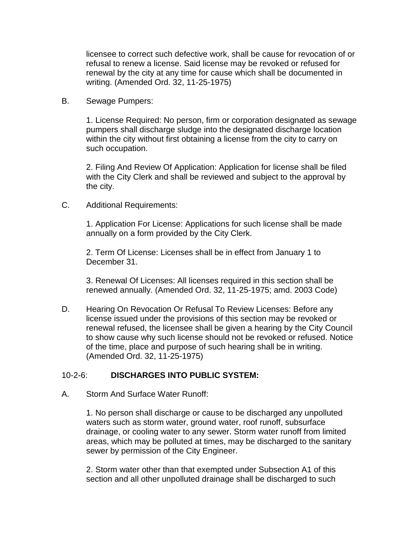licensee to correct such defective work, shall be cause for revocation of or refusal to renew a license. Said license may be revoked or refused for renewal by the city at any time for cause which shall be documented in writing. (Amended Ord. 32, 11-25-1975)

B. Sewage Pumpers:

1. License Required: No person, firm or corporation designated as sewage pumpers shall discharge sludge into the designated discharge location within the city without first obtaining a license from the city to carry on such occupation.

2. Filing And Review Of Application: Application for license shall be filed with the City Clerk and shall be reviewed and subject to the approval by the city.

C. Additional Requirements:

1. Application For License: Applications for such license shall be made annually on a form provided by the City Clerk.

2. Term Of License: Licenses shall be in effect from January 1 to December 31.

3. Renewal Of Licenses: All licenses required in this section shall be renewed annually. (Amended Ord. 32, 11-25-1975; amd. 2003 Code)

D. Hearing On Revocation Or Refusal To Review Licenses: Before any license issued under the provisions of this section may be revoked or renewal refused, the licensee shall be given a hearing by the City Council to show cause why such license should not be revoked or refused. Notice of the time, place and purpose of such hearing shall be in writing. (Amended Ord. 32, 11-25-1975)

## 10-2-6: **DISCHARGES INTO PUBLIC SYSTEM:**

A. Storm And Surface Water Runoff:

1. No person shall discharge or cause to be discharged any unpolluted waters such as storm water, ground water, roof runoff, subsurface drainage, or cooling water to any sewer. Storm water runoff from limited areas, which may be polluted at times, may be discharged to the sanitary sewer by permission of the City Engineer.

2. Storm water other than that exempted under Subsection A1 of this section and all other unpolluted drainage shall be discharged to such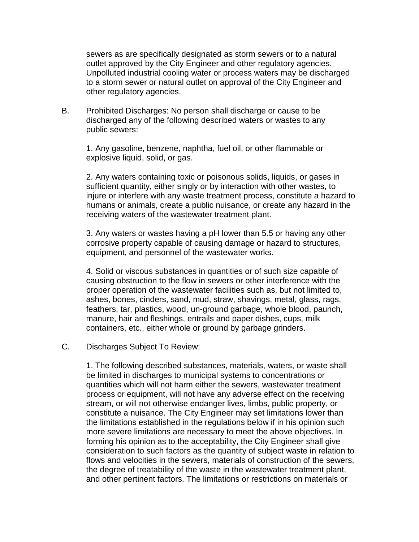sewers as are specifically designated as storm sewers or to a natural outlet approved by the City Engineer and other regulatory agencies. Unpolluted industrial cooling water or process waters may be discharged to a storm sewer or natural outlet on approval of the City Engineer and other regulatory agencies.

B. Prohibited Discharges: No person shall discharge or cause to be discharged any of the following described waters or wastes to any public sewers:

1. Any gasoline, benzene, naphtha, fuel oil, or other flammable or explosive liquid, solid, or gas.

2. Any waters containing toxic or poisonous solids, liquids, or gases in sufficient quantity, either singly or by interaction with other wastes, to injure or interfere with any waste treatment process, constitute a hazard to humans or animals, create a public nuisance, or create any hazard in the receiving waters of the wastewater treatment plant.

3. Any waters or wastes having a pH lower than 5.5 or having any other corrosive property capable of causing damage or hazard to structures, equipment, and personnel of the wastewater works.

4. Solid or viscous substances in quantities or of such size capable of causing obstruction to the flow in sewers or other interference with the proper operation of the wastewater facilities such as, but not limited to, ashes, bones, cinders, sand, mud, straw, shavings, metal, glass, rags, feathers, tar, plastics, wood, un-ground garbage, whole blood, paunch, manure, hair and fleshings, entrails and paper dishes, cups, milk containers, etc., either whole or ground by garbage grinders.

#### C. Discharges Subject To Review:

1. The following described substances, materials, waters, or waste shall be limited in discharges to municipal systems to concentrations or quantities which will not harm either the sewers, wastewater treatment process or equipment, will not have any adverse effect on the receiving stream, or will not otherwise endanger lives, limbs, public property, or constitute a nuisance. The City Engineer may set limitations lower than the limitations established in the regulations below if in his opinion such more severe limitations are necessary to meet the above objectives. In forming his opinion as to the acceptability, the City Engineer shall give consideration to such factors as the quantity of subject waste in relation to flows and velocities in the sewers, materials of construction of the sewers, the degree of treatability of the waste in the wastewater treatment plant, and other pertinent factors. The limitations or restrictions on materials or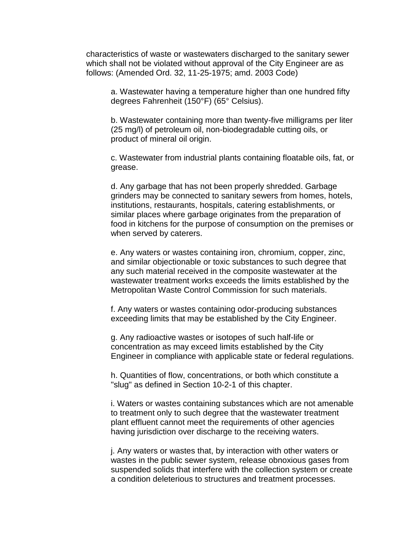characteristics of waste or wastewaters discharged to the sanitary sewer which shall not be violated without approval of the City Engineer are as follows: (Amended Ord. 32, 11-25-1975; amd. 2003 Code)

a. Wastewater having a temperature higher than one hundred fifty degrees Fahrenheit (150°F) (65° Celsius).

b. Wastewater containing more than twenty-five milligrams per liter (25 mg/l) of petroleum oil, non-biodegradable cutting oils, or product of mineral oil origin.

c. Wastewater from industrial plants containing floatable oils, fat, or grease.

d. Any garbage that has not been properly shredded. Garbage grinders may be connected to sanitary sewers from homes, hotels, institutions, restaurants, hospitals, catering establishments, or similar places where garbage originates from the preparation of food in kitchens for the purpose of consumption on the premises or when served by caterers.

e. Any waters or wastes containing iron, chromium, copper, zinc, and similar objectionable or toxic substances to such degree that any such material received in the composite wastewater at the wastewater treatment works exceeds the limits established by the Metropolitan Waste Control Commission for such materials.

f. Any waters or wastes containing odor-producing substances exceeding limits that may be established by the City Engineer.

g. Any radioactive wastes or isotopes of such half-life or concentration as may exceed limits established by the City Engineer in compliance with applicable state or federal regulations.

h. Quantities of flow, concentrations, or both which constitute a "slug" as defined in Section 10-2-1 of this chapter.

i. Waters or wastes containing substances which are not amenable to treatment only to such degree that the wastewater treatment plant effluent cannot meet the requirements of other agencies having jurisdiction over discharge to the receiving waters.

j. Any waters or wastes that, by interaction with other waters or wastes in the public sewer system, release obnoxious gases from suspended solids that interfere with the collection system or create a condition deleterious to structures and treatment processes.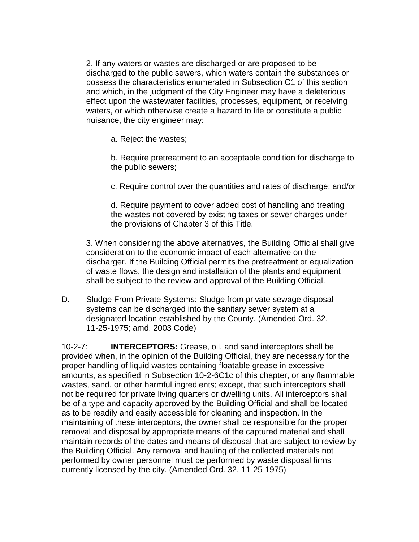2. If any waters or wastes are discharged or are proposed to be discharged to the public sewers, which waters contain the substances or possess the characteristics enumerated in Subsection C1 of this section and which, in the judgment of the City Engineer may have a deleterious effect upon the wastewater facilities, processes, equipment, or receiving waters, or which otherwise create a hazard to life or constitute a public nuisance, the city engineer may:

a. Reject the wastes;

b. Require pretreatment to an acceptable condition for discharge to the public sewers;

c. Require control over the quantities and rates of discharge; and/or

d. Require payment to cover added cost of handling and treating the wastes not covered by existing taxes or sewer charges under the provisions of Chapter 3 of this Title.

3. When considering the above alternatives, the Building Official shall give consideration to the economic impact of each alternative on the discharger. If the Building Official permits the pretreatment or equalization of waste flows, the design and installation of the plants and equipment shall be subject to the review and approval of the Building Official.

D. Sludge From Private Systems: Sludge from private sewage disposal systems can be discharged into the sanitary sewer system at a designated location established by the County. (Amended Ord. 32, 11-25-1975; amd. 2003 Code)

10-2-7: **INTERCEPTORS:** Grease, oil, and sand interceptors shall be provided when, in the opinion of the Building Official, they are necessary for the proper handling of liquid wastes containing floatable grease in excessive amounts, as specified in Subsection 10-2-6C1c of this chapter, or any flammable wastes, sand, or other harmful ingredients; except, that such interceptors shall not be required for private living quarters or dwelling units. All interceptors shall be of a type and capacity approved by the Building Official and shall be located as to be readily and easily accessible for cleaning and inspection. In the maintaining of these interceptors, the owner shall be responsible for the proper removal and disposal by appropriate means of the captured material and shall maintain records of the dates and means of disposal that are subject to review by the Building Official. Any removal and hauling of the collected materials not performed by owner personnel must be performed by waste disposal firms currently licensed by the city. (Amended Ord. 32, 11-25-1975)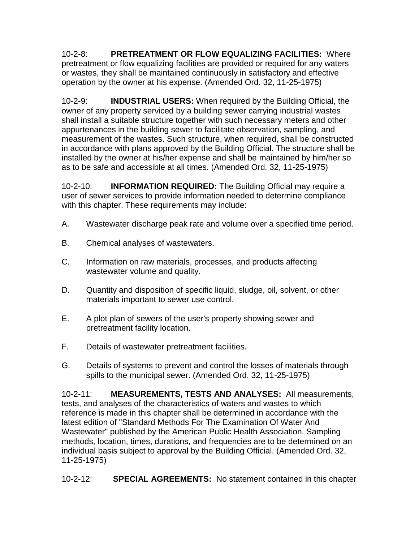10-2-8: **PRETREATMENT OR FLOW EQUALIZING FACILITIES:** Where pretreatment or flow equalizing facilities are provided or required for any waters or wastes, they shall be maintained continuously in satisfactory and effective operation by the owner at his expense. (Amended Ord. 32, 11-25-1975)

10-2-9: **INDUSTRIAL USERS:** When required by the Building Official, the owner of any property serviced by a building sewer carrying industrial wastes shall install a suitable structure together with such necessary meters and other appurtenances in the building sewer to facilitate observation, sampling, and measurement of the wastes. Such structure, when required, shall be constructed in accordance with plans approved by the Building Official. The structure shall be installed by the owner at his/her expense and shall be maintained by him/her so as to be safe and accessible at all times. (Amended Ord. 32, 11-25-1975)

10-2-10: **INFORMATION REQUIRED:** The Building Official may require a user of sewer services to provide information needed to determine compliance with this chapter. These requirements may include:

- A. Wastewater discharge peak rate and volume over a specified time period.
- B. Chemical analyses of wastewaters.
- C. Information on raw materials, processes, and products affecting wastewater volume and quality.
- D. Quantity and disposition of specific liquid, sludge, oil, solvent, or other materials important to sewer use control.
- E. A plot plan of sewers of the user's property showing sewer and pretreatment facility location.
- F. Details of wastewater pretreatment facilities.
- G. Details of systems to prevent and control the losses of materials through spills to the municipal sewer. (Amended Ord. 32, 11-25-1975)

10-2-11: **MEASUREMENTS, TESTS AND ANALYSES:** All measurements, tests, and analyses of the characteristics of waters and wastes to which reference is made in this chapter shall be determined in accordance with the latest edition of "Standard Methods For The Examination Of Water And Wastewater" published by the American Public Health Association. Sampling methods, location, times, durations, and frequencies are to be determined on an individual basis subject to approval by the Building Official. (Amended Ord. 32, 11-25-1975)

10-2-12: **SPECIAL AGREEMENTS:** No statement contained in this chapter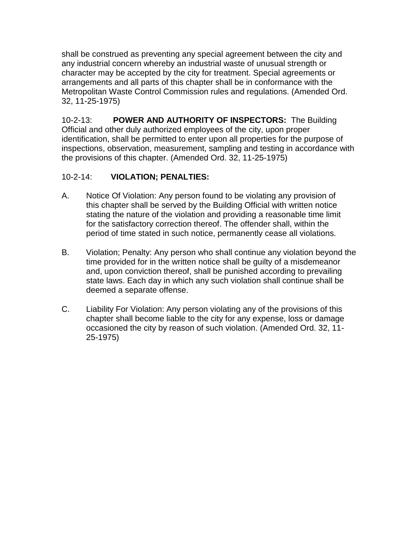shall be construed as preventing any special agreement between the city and any industrial concern whereby an industrial waste of unusual strength or character may be accepted by the city for treatment. Special agreements or arrangements and all parts of this chapter shall be in conformance with the Metropolitan Waste Control Commission rules and regulations. (Amended Ord. 32, 11-25-1975)

10-2-13: **POWER AND AUTHORITY OF INSPECTORS:** The Building Official and other duly authorized employees of the city, upon proper identification, shall be permitted to enter upon all properties for the purpose of inspections, observation, measurement, sampling and testing in accordance with the provisions of this chapter. (Amended Ord. 32, 11-25-1975)

## 10-2-14: **VIOLATION; PENALTIES:**

- A. Notice Of Violation: Any person found to be violating any provision of this chapter shall be served by the Building Official with written notice stating the nature of the violation and providing a reasonable time limit for the satisfactory correction thereof. The offender shall, within the period of time stated in such notice, permanently cease all violations.
- B. Violation; Penalty: Any person who shall continue any violation beyond the time provided for in the written notice shall be guilty of a misdemeanor and, upon conviction thereof, shall be punished according to prevailing state laws. Each day in which any such violation shall continue shall be deemed a separate offense.
- C. Liability For Violation: Any person violating any of the provisions of this chapter shall become liable to the city for any expense, loss or damage occasioned the city by reason of such violation. (Amended Ord. 32, 11- 25-1975)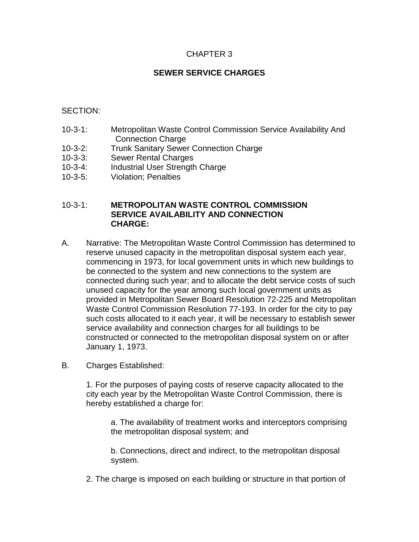## CHAPTER 3

## **SEWER SERVICE CHARGES**

### SECTION:

- 10-3-1: Metropolitan Waste Control Commission Service Availability And Connection Charge
- 10-3-2: Trunk Sanitary Sewer Connection Charge
- 10-3-3: Sewer Rental Charges
- 10-3-4: Industrial User Strength Charge
- 10-3-5: Violation; Penalties

#### 10-3-1: **METROPOLITAN WASTE CONTROL COMMISSION SERVICE AVAILABILITY AND CONNECTION CHARGE:**

- A. Narrative: The Metropolitan Waste Control Commission has determined to reserve unused capacity in the metropolitan disposal system each year, commencing in 1973, for local government units in which new buildings to be connected to the system and new connections to the system are connected during such year; and to allocate the debt service costs of such unused capacity for the year among such local government units as provided in Metropolitan Sewer Board Resolution 72-225 and Metropolitan Waste Control Commission Resolution 77-193. In order for the city to pay such costs allocated to it each year, it will be necessary to establish sewer service availability and connection charges for all buildings to be constructed or connected to the metropolitan disposal system on or after January 1, 1973.
- B. Charges Established:

1. For the purposes of paying costs of reserve capacity allocated to the city each year by the Metropolitan Waste Control Commission, there is hereby established a charge for:

a. The availability of treatment works and interceptors comprising the metropolitan disposal system; and

b. Connections, direct and indirect, to the metropolitan disposal system.

2. The charge is imposed on each building or structure in that portion of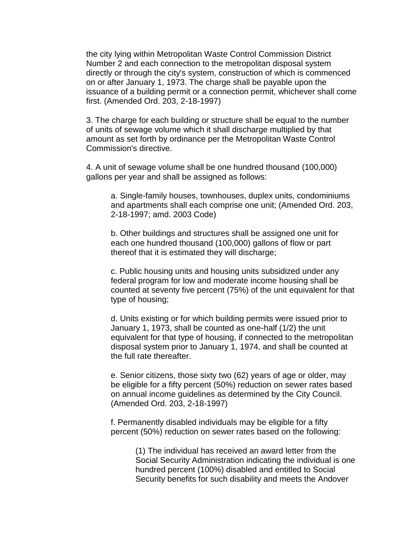the city lying within Metropolitan Waste Control Commission District Number 2 and each connection to the metropolitan disposal system directly or through the city's system, construction of which is commenced on or after January 1, 1973. The charge shall be payable upon the issuance of a building permit or a connection permit, whichever shall come first. (Amended Ord. 203, 2-18-1997)

3. The charge for each building or structure shall be equal to the number of units of sewage volume which it shall discharge multiplied by that amount as set forth by ordinance per the Metropolitan Waste Control Commission's directive.

4. A unit of sewage volume shall be one hundred thousand (100,000) gallons per year and shall be assigned as follows:

a. Single-family houses, townhouses, duplex units, condominiums and apartments shall each comprise one unit; (Amended Ord. 203, 2-18-1997; amd. 2003 Code)

b. Other buildings and structures shall be assigned one unit for each one hundred thousand (100,000) gallons of flow or part thereof that it is estimated they will discharge;

c. Public housing units and housing units subsidized under any federal program for low and moderate income housing shall be counted at seventy five percent (75%) of the unit equivalent for that type of housing;

d. Units existing or for which building permits were issued prior to January 1, 1973, shall be counted as one-half (1/2) the unit equivalent for that type of housing, if connected to the metropolitan disposal system prior to January 1, 1974, and shall be counted at the full rate thereafter.

e. Senior citizens, those sixty two (62) years of age or older, may be eligible for a fifty percent (50%) reduction on sewer rates based on annual income guidelines as determined by the City Council. (Amended Ord. 203, 2-18-1997)

f. Permanently disabled individuals may be eligible for a fifty percent (50%) reduction on sewer rates based on the following:

> (1) The individual has received an award letter from the Social Security Administration indicating the individual is one hundred percent (100%) disabled and entitled to Social Security benefits for such disability and meets the Andover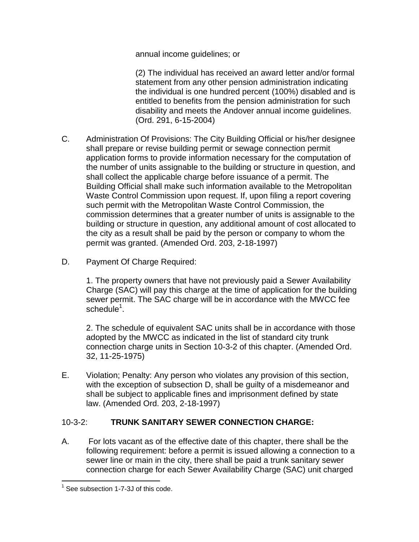annual income guidelines; or

(2) The individual has received an award letter and/or formal statement from any other pension administration indicating the individual is one hundred percent (100%) disabled and is entitled to benefits from the pension administration for such disability and meets the Andover annual income guidelines. (Ord. 291, 6-15-2004)

- C. Administration Of Provisions: The City Building Official or his/her designee shall prepare or revise building permit or sewage connection permit application forms to provide information necessary for the computation of the number of units assignable to the building or structure in question, and shall collect the applicable charge before issuance of a permit. The Building Official shall make such information available to the Metropolitan Waste Control Commission upon request. If, upon filing a report covering such permit with the Metropolitan Waste Control Commission, the commission determines that a greater number of units is assignable to the building or structure in question, any additional amount of cost allocated to the city as a result shall be paid by the person or company to whom the permit was granted. (Amended Ord. 203, 2-18-1997)
- D. Payment Of Charge Required:

1. The property owners that have not previously paid a Sewer Availability Charge (SAC) will pay this charge at the time of application for the building sewer permit. The SAC charge will be in accordance with the MWCC fee  $s$ chedule $1$ .

2. The schedule of equivalent SAC units shall be in accordance with those adopted by the MWCC as indicated in the list of standard city trunk connection charge units in Section 10-3-2 of this chapter. (Amended Ord. 32, 11-25-1975)

E. Violation; Penalty: Any person who violates any provision of this section, with the exception of subsection D, shall be guilty of a misdemeanor and shall be subject to applicable fines and imprisonment defined by state law. (Amended Ord. 203, 2-18-1997)

## 10-3-2: **TRUNK SANITARY SEWER CONNECTION CHARGE:**

A. For lots vacant as of the effective date of this chapter, there shall be the following requirement: before a permit is issued allowing a connection to a sewer line or main in the city, there shall be paid a trunk sanitary sewer connection charge for each Sewer Availability Charge (SAC) unit charged

<sup>&</sup>lt;sup>1</sup> See subsection 1-7-3J of this code.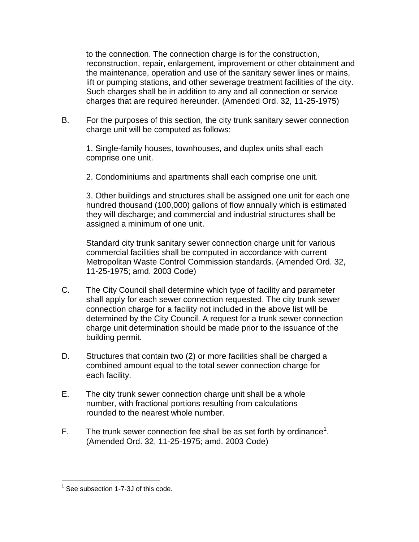to the connection. The connection charge is for the construction, reconstruction, repair, enlargement, improvement or other obtainment and the maintenance, operation and use of the sanitary sewer lines or mains, lift or pumping stations, and other sewerage treatment facilities of the city. Such charges shall be in addition to any and all connection or service charges that are required hereunder. (Amended Ord. 32, 11-25-1975)

B. For the purposes of this section, the city trunk sanitary sewer connection charge unit will be computed as follows:

1. Single-family houses, townhouses, and duplex units shall each comprise one unit.

2. Condominiums and apartments shall each comprise one unit.

3. Other buildings and structures shall be assigned one unit for each one hundred thousand (100,000) gallons of flow annually which is estimated they will discharge; and commercial and industrial structures shall be assigned a minimum of one unit.

Standard city trunk sanitary sewer connection charge unit for various commercial facilities shall be computed in accordance with current Metropolitan Waste Control Commission standards. (Amended Ord. 32, 11-25-1975; amd. 2003 Code)

- C. The City Council shall determine which type of facility and parameter shall apply for each sewer connection requested. The city trunk sewer connection charge for a facility not included in the above list will be determined by the City Council. A request for a trunk sewer connection charge unit determination should be made prior to the issuance of the building permit.
- D. Structures that contain two (2) or more facilities shall be charged a combined amount equal to the total sewer connection charge for each facility.
- E. The city trunk sewer connection charge unit shall be a whole number, with fractional portions resulting from calculations rounded to the nearest whole number.
- F. The trunk sewer connection fee shall be as set forth by ordinance<sup>1</sup>. (Amended Ord. 32, 11-25-1975; amd. 2003 Code)

 $\overline{a}$ <sup>1</sup> See subsection 1-7-3J of this code.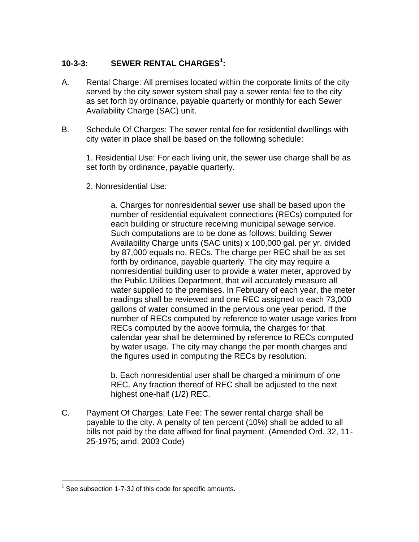# **10-3-3: SEWER RENTAL CHARGES<sup>1</sup> :**

- A. Rental Charge: All premises located within the corporate limits of the city served by the city sewer system shall pay a sewer rental fee to the city as set forth by ordinance, payable quarterly or monthly for each Sewer Availability Charge (SAC) unit.
- B. Schedule Of Charges: The sewer rental fee for residential dwellings with city water in place shall be based on the following schedule:

1. Residential Use: For each living unit, the sewer use charge shall be as set forth by ordinance, payable quarterly.

2. Nonresidential Use:

a. Charges for nonresidential sewer use shall be based upon the number of residential equivalent connections (RECs) computed for each building or structure receiving municipal sewage service. Such computations are to be done as follows: building Sewer Availability Charge units (SAC units) x 100,000 gal. per yr. divided by 87,000 equals no. RECs. The charge per REC shall be as set forth by ordinance, payable quarterly. The city may require a nonresidential building user to provide a water meter, approved by the Public Utilities Department, that will accurately measure all water supplied to the premises. In February of each year, the meter readings shall be reviewed and one REC assigned to each 73,000 gallons of water consumed in the pervious one year period. If the number of RECs computed by reference to water usage varies from RECs computed by the above formula, the charges for that calendar year shall be determined by reference to RECs computed by water usage. The city may change the per month charges and the figures used in computing the RECs by resolution.

b. Each nonresidential user shall be charged a minimum of one REC. Any fraction thereof of REC shall be adjusted to the next highest one-half (1/2) REC.

C. Payment Of Charges; Late Fee: The sewer rental charge shall be payable to the city. A penalty of ten percent (10%) shall be added to all bills not paid by the date affixed for final payment. (Amended Ord. 32, 11- 25-1975; amd. 2003 Code)

 $\overline{a}$  $1$  See subsection 1-7-3J of this code for specific amounts.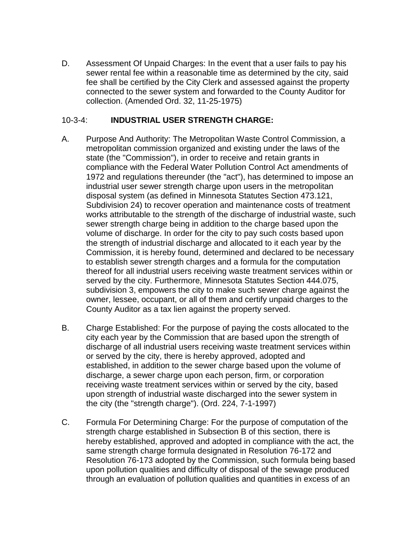D. Assessment Of Unpaid Charges: In the event that a user fails to pay his sewer rental fee within a reasonable time as determined by the city, said fee shall be certified by the City Clerk and assessed against the property connected to the sewer system and forwarded to the County Auditor for collection. (Amended Ord. 32, 11-25-1975)

### 10-3-4: **INDUSTRIAL USER STRENGTH CHARGE:**

- A. Purpose And Authority: The Metropolitan Waste Control Commission, a metropolitan commission organized and existing under the laws of the state (the "Commission"), in order to receive and retain grants in compliance with the Federal Water Pollution Control Act amendments of 1972 and regulations thereunder (the "act"), has determined to impose an industrial user sewer strength charge upon users in the metropolitan disposal system (as defined in Minnesota Statutes Section 473.121, Subdivision 24) to recover operation and maintenance costs of treatment works attributable to the strength of the discharge of industrial waste, such sewer strength charge being in addition to the charge based upon the volume of discharge. In order for the city to pay such costs based upon the strength of industrial discharge and allocated to it each year by the Commission, it is hereby found, determined and declared to be necessary to establish sewer strength charges and a formula for the computation thereof for all industrial users receiving waste treatment services within or served by the city. Furthermore, Minnesota Statutes Section 444.075, subdivision 3, empowers the city to make such sewer charge against the owner, lessee, occupant, or all of them and certify unpaid charges to the County Auditor as a tax lien against the property served.
- B. Charge Established: For the purpose of paying the costs allocated to the city each year by the Commission that are based upon the strength of discharge of all industrial users receiving waste treatment services within or served by the city, there is hereby approved, adopted and established, in addition to the sewer charge based upon the volume of discharge, a sewer charge upon each person, firm, or corporation receiving waste treatment services within or served by the city, based upon strength of industrial waste discharged into the sewer system in the city (the "strength charge"). (Ord. 224, 7-1-1997)
- C. Formula For Determining Charge: For the purpose of computation of the strength charge established in Subsection B of this section, there is hereby established, approved and adopted in compliance with the act, the same strength charge formula designated in Resolution 76-172 and Resolution 76-173 adopted by the Commission, such formula being based upon pollution qualities and difficulty of disposal of the sewage produced through an evaluation of pollution qualities and quantities in excess of an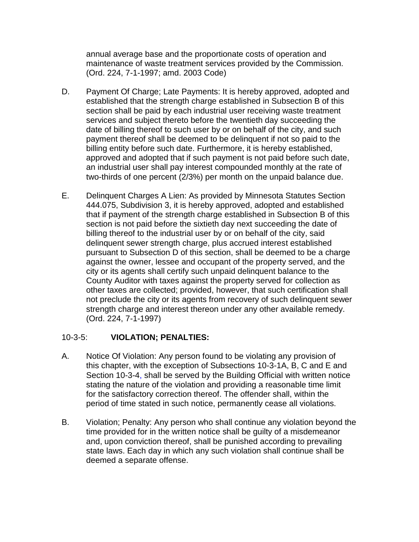annual average base and the proportionate costs of operation and maintenance of waste treatment services provided by the Commission. (Ord. 224, 7-1-1997; amd. 2003 Code)

- D. Payment Of Charge; Late Payments: It is hereby approved, adopted and established that the strength charge established in Subsection B of this section shall be paid by each industrial user receiving waste treatment services and subject thereto before the twentieth day succeeding the date of billing thereof to such user by or on behalf of the city, and such payment thereof shall be deemed to be delinquent if not so paid to the billing entity before such date. Furthermore, it is hereby established, approved and adopted that if such payment is not paid before such date, an industrial user shall pay interest compounded monthly at the rate of two-thirds of one percent (2/3%) per month on the unpaid balance due.
- E. Delinquent Charges A Lien: As provided by Minnesota Statutes Section 444.075, Subdivision 3, it is hereby approved, adopted and established that if payment of the strength charge established in Subsection B of this section is not paid before the sixtieth day next succeeding the date of billing thereof to the industrial user by or on behalf of the city, said delinquent sewer strength charge, plus accrued interest established pursuant to Subsection D of this section, shall be deemed to be a charge against the owner, lessee and occupant of the property served, and the city or its agents shall certify such unpaid delinquent balance to the County Auditor with taxes against the property served for collection as other taxes are collected; provided, however, that such certification shall not preclude the city or its agents from recovery of such delinquent sewer strength charge and interest thereon under any other available remedy. (Ord. 224, 7-1-1997)

### 10-3-5: **VIOLATION; PENALTIES:**

- A. Notice Of Violation: Any person found to be violating any provision of this chapter, with the exception of Subsections 10-3-1A, B, C and E and Section 10-3-4, shall be served by the Building Official with written notice stating the nature of the violation and providing a reasonable time limit for the satisfactory correction thereof. The offender shall, within the period of time stated in such notice, permanently cease all violations.
- B. Violation; Penalty: Any person who shall continue any violation beyond the time provided for in the written notice shall be guilty of a misdemeanor and, upon conviction thereof, shall be punished according to prevailing state laws. Each day in which any such violation shall continue shall be deemed a separate offense.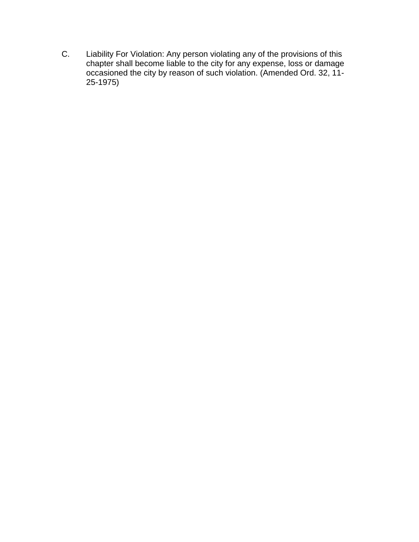C. Liability For Violation: Any person violating any of the provisions of this chapter shall become liable to the city for any expense, loss or damage occasioned the city by reason of such violation. (Amended Ord. 32, 11- 25-1975)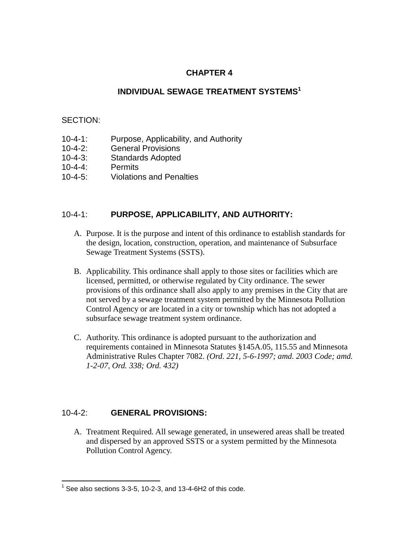## **CHAPTER 4**

### **INDIVIDUAL SEWAGE TREATMENT SYSTEMS<sup>1</sup>**

#### SECTION:

- 10-4-1: Purpose, Applicability, and Authority
- 10-4-2: General Provisions
- 10-4-3: Standards Adopted
- 10-4-4: Permits
- 10-4-5: Violations and Penalties

### 10-4-1: **PURPOSE, APPLICABILITY, AND AUTHORITY:**

- A. Purpose. It is the purpose and intent of this ordinance to establish standards for the design, location, construction, operation, and maintenance of Subsurface Sewage Treatment Systems (SSTS).
- B. Applicability. This ordinance shall apply to those sites or facilities which are licensed, permitted, or otherwise regulated by City ordinance. The sewer provisions of this ordinance shall also apply to any premises in the City that are not served by a sewage treatment system permitted by the Minnesota Pollution Control Agency or are located in a city or township which has not adopted a subsurface sewage treatment system ordinance.
- C. Authority. This ordinance is adopted pursuant to the authorization and requirements contained in Minnesota Statutes §145A.05, 115.55 and Minnesota Administrative Rules Chapter 7082. *(Ord. 221, 5-6-1997; amd. 2003 Code; amd. 1-2-07, Ord. 338; Ord. 432)*

### 10-4-2: **GENERAL PROVISIONS:**

 $\overline{a}$ 

A. Treatment Required. All sewage generated, in unsewered areas shall be treated and dispersed by an approved SSTS or a system permitted by the Minnesota Pollution Control Agency.

 $1$  See also sections 3-3-5, 10-2-3, and 13-4-6H2 of this code.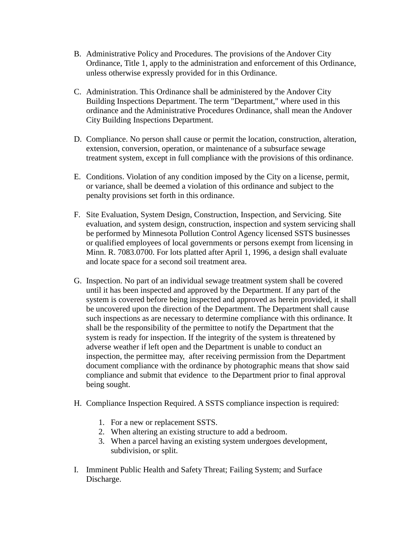- B. Administrative Policy and Procedures. The provisions of the Andover City Ordinance, Title 1, apply to the administration and enforcement of this Ordinance, unless otherwise expressly provided for in this Ordinance.
- C. Administration. This Ordinance shall be administered by the Andover City Building Inspections Department. The term "Department," where used in this ordinance and the Administrative Procedures Ordinance, shall mean the Andover City Building Inspections Department.
- D. Compliance. No person shall cause or permit the location, construction, alteration, extension, conversion, operation, or maintenance of a subsurface sewage treatment system, except in full compliance with the provisions of this ordinance.
- E. Conditions. Violation of any condition imposed by the City on a license, permit, or variance, shall be deemed a violation of this ordinance and subject to the penalty provisions set forth in this ordinance.
- F. Site Evaluation, System Design, Construction, Inspection, and Servicing. Site evaluation, and system design, construction, inspection and system servicing shall be performed by Minnesota Pollution Control Agency licensed SSTS businesses or qualified employees of local governments or persons exempt from licensing in Minn. R. 7083.0700. For lots platted after April 1, 1996, a design shall evaluate and locate space for a second soil treatment area.
- G. Inspection. No part of an individual sewage treatment system shall be covered until it has been inspected and approved by the Department. If any part of the system is covered before being inspected and approved as herein provided, it shall be uncovered upon the direction of the Department. The Department shall cause such inspections as are necessary to determine compliance with this ordinance. It shall be the responsibility of the permittee to notify the Department that the system is ready for inspection. If the integrity of the system is threatened by adverse weather if left open and the Department is unable to conduct an inspection, the permittee may, after receiving permission from the Department document compliance with the ordinance by photographic means that show said compliance and submit that evidence to the Department prior to final approval being sought.
- H. Compliance Inspection Required. A SSTS compliance inspection is required:
	- 1. For a new or replacement SSTS.
	- 2. When altering an existing structure to add a bedroom.
	- 3. When a parcel having an existing system undergoes development, subdivision, or split.
- I. Imminent Public Health and Safety Threat; Failing System; and Surface Discharge.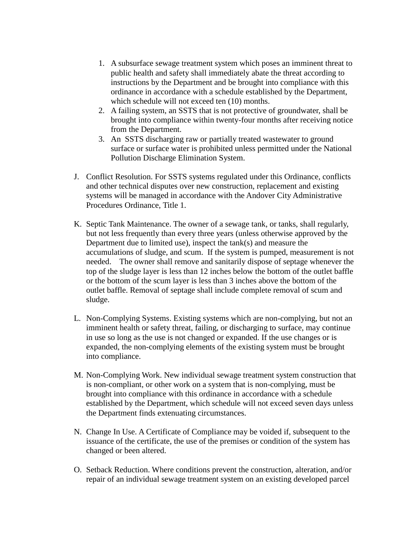- 1. A subsurface sewage treatment system which poses an imminent threat to public health and safety shall immediately abate the threat according to instructions by the Department and be brought into compliance with this ordinance in accordance with a schedule established by the Department, which schedule will not exceed ten  $(10)$  months.
- 2. A failing system, an SSTS that is not protective of groundwater, shall be brought into compliance within twenty-four months after receiving notice from the Department.
- 3. An SSTS discharging raw or partially treated wastewater to ground surface or surface water is prohibited unless permitted under the National Pollution Discharge Elimination System.
- J. Conflict Resolution. For SSTS systems regulated under this Ordinance, conflicts and other technical disputes over new construction, replacement and existing systems will be managed in accordance with the Andover City Administrative Procedures Ordinance, Title 1.
- K. Septic Tank Maintenance. The owner of a sewage tank, or tanks, shall regularly, but not less frequently than every three years (unless otherwise approved by the Department due to limited use), inspect the tank(s) and measure the accumulations of sludge, and scum. If the system is pumped, measurement is not needed. The owner shall remove and sanitarily dispose of septage whenever the top of the sludge layer is less than 12 inches below the bottom of the outlet baffle or the bottom of the scum layer is less than 3 inches above the bottom of the outlet baffle. Removal of septage shall include complete removal of scum and sludge.
- L. Non-Complying Systems. Existing systems which are non-complying, but not an imminent health or safety threat, failing, or discharging to surface, may continue in use so long as the use is not changed or expanded. If the use changes or is expanded, the non-complying elements of the existing system must be brought into compliance.
- M. Non-Complying Work. New individual sewage treatment system construction that is non-compliant, or other work on a system that is non-complying, must be brought into compliance with this ordinance in accordance with a schedule established by the Department, which schedule will not exceed seven days unless the Department finds extenuating circumstances.
- N. Change In Use. A Certificate of Compliance may be voided if, subsequent to the issuance of the certificate, the use of the premises or condition of the system has changed or been altered.
- O. Setback Reduction. Where conditions prevent the construction, alteration, and/or repair of an individual sewage treatment system on an existing developed parcel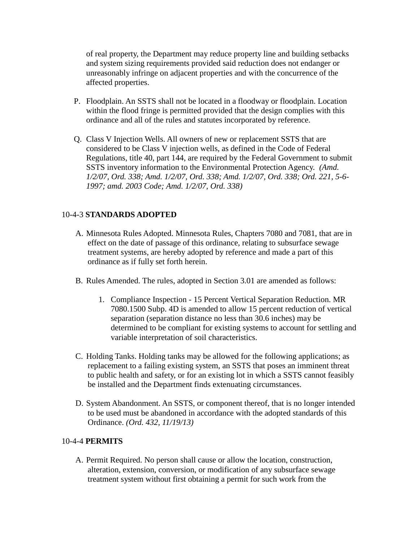of real property, the Department may reduce property line and building setbacks and system sizing requirements provided said reduction does not endanger or unreasonably infringe on adjacent properties and with the concurrence of the affected properties.

- P. Floodplain. An SSTS shall not be located in a floodway or floodplain. Location within the flood fringe is permitted provided that the design complies with this ordinance and all of the rules and statutes incorporated by reference.
- Q. Class V Injection Wells. All owners of new or replacement SSTS that are considered to be Class V injection wells, as defined in the Code of Federal Regulations, title 40, part 144, are required by the Federal Government to submit SSTS inventory information to the Environmental Protection Agency. *(Amd. 1/2/07, Ord. 338; Amd. 1/2/07, Ord. 338; Amd. 1/2/07, Ord. 338; Ord. 221, 5-6- 1997; amd. 2003 Code; Amd. 1/2/07, Ord. 338)*

### 10-4-3 **STANDARDS ADOPTED**

- A. Minnesota Rules Adopted. Minnesota Rules, Chapters 7080 and 7081, that are in effect on the date of passage of this ordinance, relating to subsurface sewage treatment systems, are hereby adopted by reference and made a part of this ordinance as if fully set forth herein.
- B. Rules Amended. The rules, adopted in Section 3.01 are amended as follows:
	- 1. Compliance Inspection 15 Percent Vertical Separation Reduction. MR 7080.1500 Subp. 4D is amended to allow 15 percent reduction of vertical separation (separation distance no less than 30.6 inches) may be determined to be compliant for existing systems to account for settling and variable interpretation of soil characteristics.
- C. Holding Tanks. Holding tanks may be allowed for the following applications; as replacement to a failing existing system, an SSTS that poses an imminent threat to public health and safety, or for an existing lot in which a SSTS cannot feasibly be installed and the Department finds extenuating circumstances.
- D. System Abandonment. An SSTS, or component thereof, that is no longer intended to be used must be abandoned in accordance with the adopted standards of this Ordinance. *(Ord. 432, 11/19/13)*

### 10-4-4 **PERMITS**

A. Permit Required. No person shall cause or allow the location, construction, alteration, extension, conversion, or modification of any subsurface sewage treatment system without first obtaining a permit for such work from the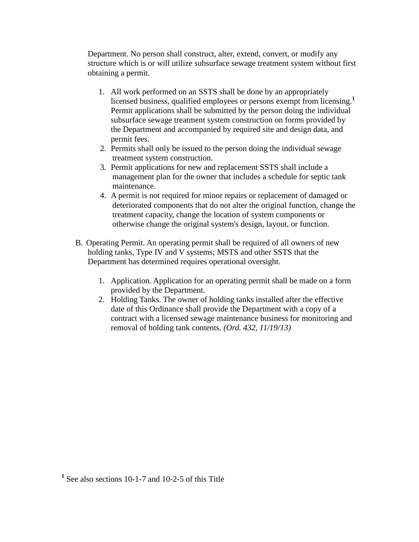Department. No person shall construct, alter, extend, convert, or modify any structure which is or will utilize subsurface sewage treatment system without first obtaining a permit.

- 1. All work performed on an SSTS shall be done by an appropriately licensed business, qualified employees or persons exempt from licensing.**<sup>1</sup>** Permit applications shall be submitted by the person doing the individual subsurface sewage treatment system construction on forms provided by the Department and accompanied by required site and design data, and permit fees.
- 2. Permits shall only be issued to the person doing the individual sewage treatment system construction.
- 3. Permit applications for new and replacement SSTS shall include a management plan for the owner that includes a schedule for septic tank maintenance.
- 4. A permit is not required for minor repairs or replacement of damaged or deteriorated components that do not alter the original function, change the treatment capacity, change the location of system components or otherwise change the original system's design, layout, or function.
- B. Operating Permit. An operating permit shall be required of all owners of new holding tanks, Type IV and V systems; MSTS and other SSTS that the Department has determined requires operational oversight.
	- 1. Application. Application for an operating permit shall be made on a form provided by the Department.
	- 2. Holding Tanks. The owner of holding tanks installed after the effective date of this Ordinance shall provide the Department with a copy of a contract with a licensed sewage maintenance business for monitoring and removal of holding tank contents. *(Ord. 432, 11/19/13)*

**<sup>1</sup>** See also sections 10-1-7 and 10-2-5 of this Title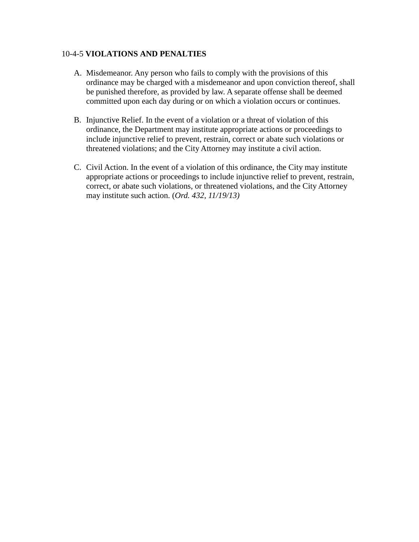#### 10-4-5 **VIOLATIONS AND PENALTIES**

- A. Misdemeanor. Any person who fails to comply with the provisions of this ordinance may be charged with a misdemeanor and upon conviction thereof, shall be punished therefore, as provided by law. A separate offense shall be deemed committed upon each day during or on which a violation occurs or continues.
- B. Injunctive Relief. In the event of a violation or a threat of violation of this ordinance, the Department may institute appropriate actions or proceedings to include injunctive relief to prevent, restrain, correct or abate such violations or threatened violations; and the City Attorney may institute a civil action.
- C. Civil Action. In the event of a violation of this ordinance, the City may institute appropriate actions or proceedings to include injunctive relief to prevent, restrain, correct, or abate such violations, or threatened violations, and the City Attorney may institute such action. (*Ord. 432, 11/19/13)*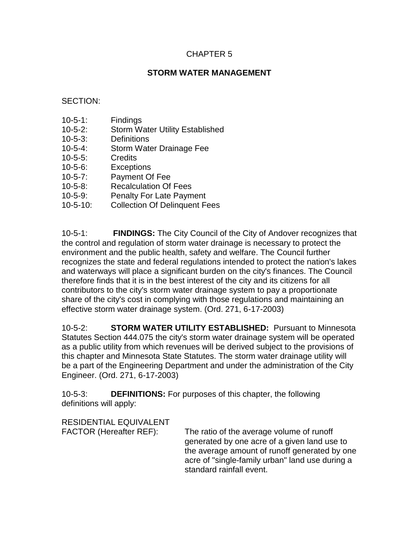### CHAPTER 5

### **STORM WATER MANAGEMENT**

#### SECTION:

- 10-5-1: Findings
- 10-5-2: Storm Water Utility Established
- 10-5-3: Definitions
- 10-5-4: Storm Water Drainage Fee
- 10-5-5: Credits
- 10-5-6: Exceptions
- 10-5-7: Payment Of Fee
- 10-5-8: Recalculation Of Fees
- 10-5-9: Penalty For Late Payment
- 10-5-10: Collection Of Delinquent Fees

10-5-1: **FINDINGS:** The City Council of the City of Andover recognizes that the control and regulation of storm water drainage is necessary to protect the environment and the public health, safety and welfare. The Council further recognizes the state and federal regulations intended to protect the nation's lakes and waterways will place a significant burden on the city's finances. The Council therefore finds that it is in the best interest of the city and its citizens for all contributors to the city's storm water drainage system to pay a proportionate share of the city's cost in complying with those regulations and maintaining an effective storm water drainage system. (Ord. 271, 6-17-2003)

10-5-2: **STORM WATER UTILITY ESTABLISHED:** Pursuant to Minnesota Statutes Section 444.075 the city's storm water drainage system will be operated as a public utility from which revenues will be derived subject to the provisions of this chapter and Minnesota State Statutes. The storm water drainage utility will be a part of the Engineering Department and under the administration of the City Engineer. (Ord. 271, 6-17-2003)

10-5-3: **DEFINITIONS:** For purposes of this chapter, the following definitions will apply:

RESIDENTIAL EQUIVALENT

FACTOR (Hereafter REF): The ratio of the average volume of runoff generated by one acre of a given land use to the average amount of runoff generated by one acre of "single-family urban" land use during a standard rainfall event.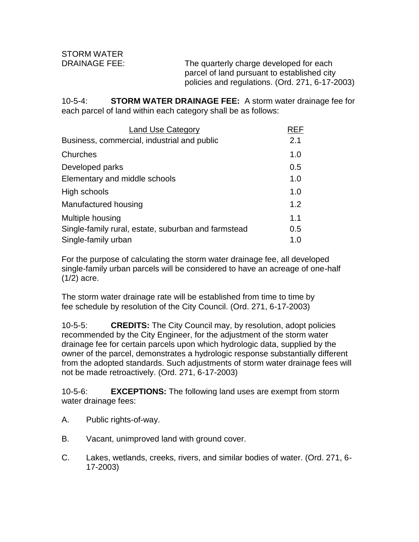DRAINAGE FEE: The quarterly charge developed for each parcel of land pursuant to established city policies and regulations. (Ord. 271, 6-17-2003)

10-5-4: **STORM WATER DRAINAGE FEE:** A storm water drainage fee for each parcel of land within each category shall be as follows:

| <b>Land Use Category</b>                            | REF |
|-----------------------------------------------------|-----|
| Business, commercial, industrial and public         | 2.1 |
| Churches                                            | 1.0 |
| Developed parks                                     | 0.5 |
| Elementary and middle schools                       | 1.0 |
| High schools                                        | 1.0 |
| Manufactured housing                                | 1.2 |
| Multiple housing                                    | 1.1 |
| Single-family rural, estate, suburban and farmstead | 0.5 |
| Single-family urban                                 | 1.0 |

For the purpose of calculating the storm water drainage fee, all developed single-family urban parcels will be considered to have an acreage of one-half (1/2) acre.

The storm water drainage rate will be established from time to time by fee schedule by resolution of the City Council. (Ord. 271, 6-17-2003)

10-5-5: **CREDITS:** The City Council may, by resolution, adopt policies recommended by the City Engineer, for the adjustment of the storm water drainage fee for certain parcels upon which hydrologic data, supplied by the owner of the parcel, demonstrates a hydrologic response substantially different from the adopted standards. Such adjustments of storm water drainage fees will not be made retroactively. (Ord. 271, 6-17-2003)

10-5-6: **EXCEPTIONS:** The following land uses are exempt from storm water drainage fees:

- A. Public rights-of-way.
- B. Vacant, unimproved land with ground cover.
- C. Lakes, wetlands, creeks, rivers, and similar bodies of water. (Ord. 271, 6- 17-2003)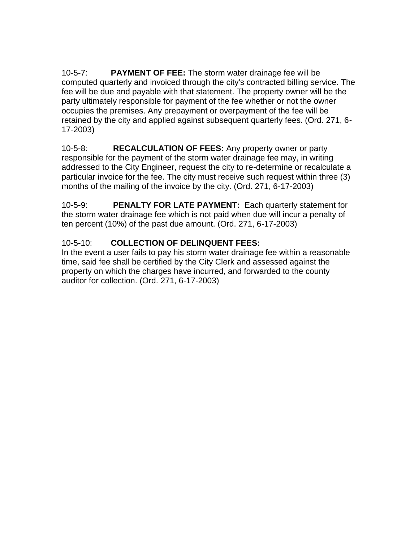10-5-7: **PAYMENT OF FEE:** The storm water drainage fee will be computed quarterly and invoiced through the city's contracted billing service. The fee will be due and payable with that statement. The property owner will be the party ultimately responsible for payment of the fee whether or not the owner occupies the premises. Any prepayment or overpayment of the fee will be retained by the city and applied against subsequent quarterly fees. (Ord. 271, 6- 17-2003)

10-5-8: **RECALCULATION OF FEES:** Any property owner or party responsible for the payment of the storm water drainage fee may, in writing addressed to the City Engineer, request the city to re-determine or recalculate a particular invoice for the fee. The city must receive such request within three (3) months of the mailing of the invoice by the city. (Ord. 271, 6-17-2003)

10-5-9: **PENALTY FOR LATE PAYMENT:** Each quarterly statement for the storm water drainage fee which is not paid when due will incur a penalty of ten percent (10%) of the past due amount. (Ord. 271, 6-17-2003)

## 10-5-10: **COLLECTION OF DELINQUENT FEES:**

In the event a user fails to pay his storm water drainage fee within a reasonable time, said fee shall be certified by the City Clerk and assessed against the property on which the charges have incurred, and forwarded to the county auditor for collection. (Ord. 271, 6-17-2003)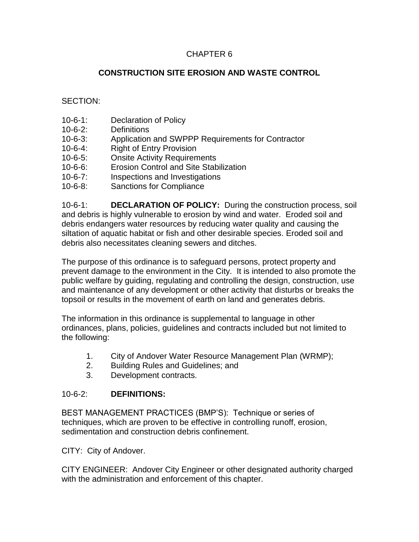## CHAPTER 6

## **CONSTRUCTION SITE EROSION AND WASTE CONTROL**

SECTION:

- 10-6-1: Declaration of Policy
- 10-6-2: Definitions
- 10-6-3: Application and SWPPP Requirements for Contractor
- 10-6-4: Right of Entry Provision
- 10-6-5: Onsite Activity Requirements
- 10-6-6: Erosion Control and Site Stabilization
- 10-6-7: Inspections and Investigations
- 10-6-8: Sanctions for Compliance

10-6-1: **DECLARATION OF POLICY:** During the construction process, soil and debris is highly vulnerable to erosion by wind and water. Eroded soil and debris endangers water resources by reducing water quality and causing the siltation of aquatic habitat or fish and other desirable species. Eroded soil and debris also necessitates cleaning sewers and ditches.

The purpose of this ordinance is to safeguard persons, protect property and prevent damage to the environment in the City. It is intended to also promote the public welfare by guiding, regulating and controlling the design, construction, use and maintenance of any development or other activity that disturbs or breaks the topsoil or results in the movement of earth on land and generates debris.

The information in this ordinance is supplemental to language in other ordinances, plans, policies, guidelines and contracts included but not limited to the following:

- 1. City of Andover Water Resource Management Plan (WRMP);
- 2. Building Rules and Guidelines; and
- 3. Development contracts.

### 10-6-2: **DEFINITIONS:**

BEST MANAGEMENT PRACTICES (BMP'S): Technique or series of techniques, which are proven to be effective in controlling runoff, erosion, sedimentation and construction debris confinement.

CITY: City of Andover.

CITY ENGINEER: Andover City Engineer or other designated authority charged with the administration and enforcement of this chapter.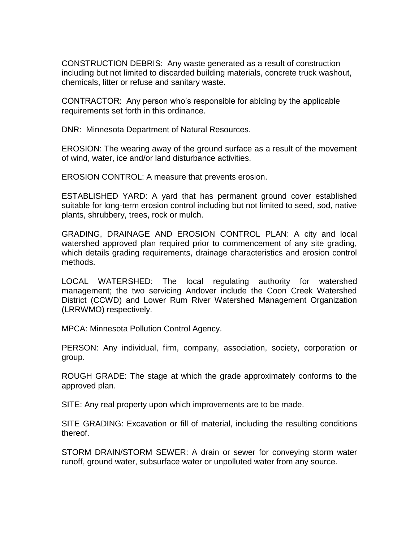CONSTRUCTION DEBRIS: Any waste generated as a result of construction including but not limited to discarded building materials, concrete truck washout, chemicals, litter or refuse and sanitary waste.

CONTRACTOR: Any person who's responsible for abiding by the applicable requirements set forth in this ordinance.

DNR: Minnesota Department of Natural Resources.

EROSION: The wearing away of the ground surface as a result of the movement of wind, water, ice and/or land disturbance activities.

EROSION CONTROL: A measure that prevents erosion.

ESTABLISHED YARD: A yard that has permanent ground cover established suitable for long-term erosion control including but not limited to seed, sod, native plants, shrubbery, trees, rock or mulch.

GRADING, DRAINAGE AND EROSION CONTROL PLAN: A city and local watershed approved plan required prior to commencement of any site grading, which details grading requirements, drainage characteristics and erosion control methods.

LOCAL WATERSHED: The local regulating authority for watershed management; the two servicing Andover include the Coon Creek Watershed District (CCWD) and Lower Rum River Watershed Management Organization (LRRWMO) respectively.

MPCA: Minnesota Pollution Control Agency.

PERSON: Any individual, firm, company, association, society, corporation or group.

ROUGH GRADE: The stage at which the grade approximately conforms to the approved plan.

SITE: Any real property upon which improvements are to be made.

SITE GRADING: Excavation or fill of material, including the resulting conditions thereof.

STORM DRAIN/STORM SEWER: A drain or sewer for conveying storm water runoff, ground water, subsurface water or unpolluted water from any source.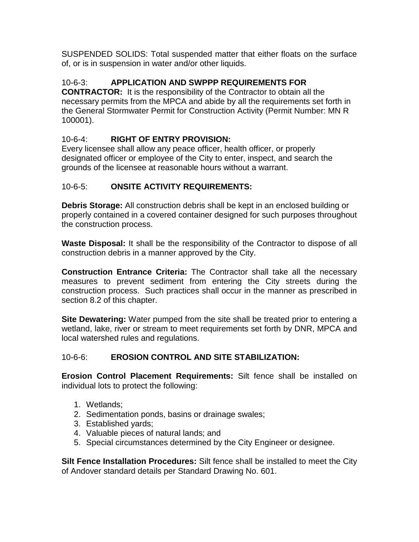SUSPENDED SOLIDS: Total suspended matter that either floats on the surface of, or is in suspension in water and/or other liquids.

# 10-6-3: **APPLICATION AND SWPPP REQUIREMENTS FOR**

**CONTRACTOR:** It is the responsibility of the Contractor to obtain all the necessary permits from the MPCA and abide by all the requirements set forth in the General Stormwater Permit for Construction Activity (Permit Number: MN R 100001).

## 10-6-4: **RIGHT OF ENTRY PROVISION:**

Every licensee shall allow any peace officer, health officer, or properly designated officer or employee of the City to enter, inspect, and search the grounds of the licensee at reasonable hours without a warrant.

## 10-6-5: **ONSITE ACTIVITY REQUIREMENTS:**

**Debris Storage:** All construction debris shall be kept in an enclosed building or properly contained in a covered container designed for such purposes throughout the construction process.

**Waste Disposal:** It shall be the responsibility of the Contractor to dispose of all construction debris in a manner approved by the City.

**Construction Entrance Criteria:** The Contractor shall take all the necessary measures to prevent sediment from entering the City streets during the construction process. Such practices shall occur in the manner as prescribed in section 8.2 of this chapter.

**Site Dewatering:** Water pumped from the site shall be treated prior to entering a wetland, lake, river or stream to meet requirements set forth by DNR, MPCA and local watershed rules and regulations.

## 10-6-6: **EROSION CONTROL AND SITE STABILIZATION:**

**Erosion Control Placement Requirements:** Silt fence shall be installed on individual lots to protect the following:

- 1. Wetlands;
- 2. Sedimentation ponds, basins or drainage swales;
- 3. Established yards;
- 4. Valuable pieces of natural lands; and
- 5. Special circumstances determined by the City Engineer or designee.

**Silt Fence Installation Procedures:** Silt fence shall be installed to meet the City of Andover standard details per Standard Drawing No. 601.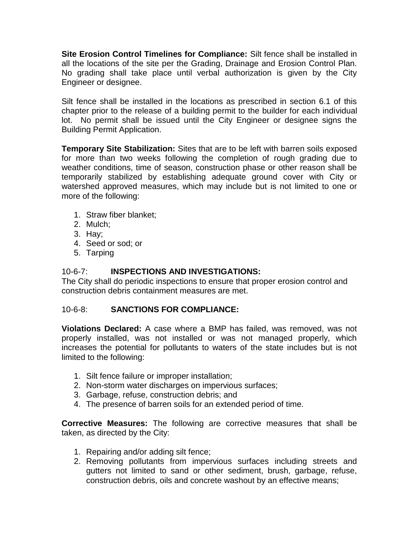**Site Erosion Control Timelines for Compliance:** Silt fence shall be installed in all the locations of the site per the Grading, Drainage and Erosion Control Plan. No grading shall take place until verbal authorization is given by the City Engineer or designee.

Silt fence shall be installed in the locations as prescribed in section 6.1 of this chapter prior to the release of a building permit to the builder for each individual lot. No permit shall be issued until the City Engineer or designee signs the Building Permit Application.

**Temporary Site Stabilization:** Sites that are to be left with barren soils exposed for more than two weeks following the completion of rough grading due to weather conditions, time of season, construction phase or other reason shall be temporarily stabilized by establishing adequate ground cover with City or watershed approved measures, which may include but is not limited to one or more of the following:

- 1. Straw fiber blanket;
- 2. Mulch;
- 3. Hay;
- 4. Seed or sod; or
- 5. Tarping

### 10-6-7: **INSPECTIONS AND INVESTIGATIONS:**

The City shall do periodic inspections to ensure that proper erosion control and construction debris containment measures are met.

### 10-6-8: **SANCTIONS FOR COMPLIANCE:**

**Violations Declared:** A case where a BMP has failed, was removed, was not properly installed, was not installed or was not managed properly, which increases the potential for pollutants to waters of the state includes but is not limited to the following:

- 1. Silt fence failure or improper installation;
- 2. Non-storm water discharges on impervious surfaces;
- 3. Garbage, refuse, construction debris; and
- 4. The presence of barren soils for an extended period of time.

**Corrective Measures:** The following are corrective measures that shall be taken, as directed by the City:

- 1. Repairing and/or adding silt fence;
- 2. Removing pollutants from impervious surfaces including streets and gutters not limited to sand or other sediment, brush, garbage, refuse, construction debris, oils and concrete washout by an effective means;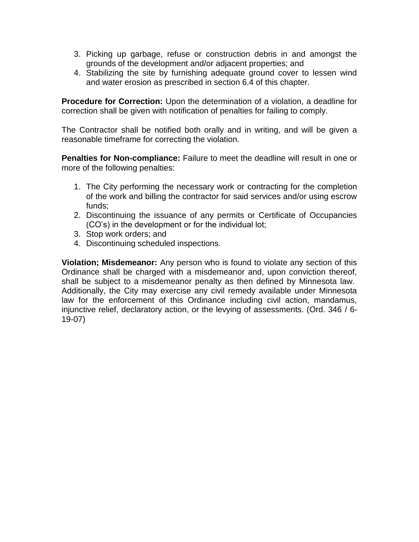- 3. Picking up garbage, refuse or construction debris in and amongst the grounds of the development and/or adjacent properties; and
- 4. Stabilizing the site by furnishing adequate ground cover to lessen wind and water erosion as prescribed in section 6.4 of this chapter.

**Procedure for Correction:** Upon the determination of a violation, a deadline for correction shall be given with notification of penalties for failing to comply.

The Contractor shall be notified both orally and in writing, and will be given a reasonable timeframe for correcting the violation.

**Penalties for Non-compliance:** Failure to meet the deadline will result in one or more of the following penalties:

- 1. The City performing the necessary work or contracting for the completion of the work and billing the contractor for said services and/or using escrow funds;
- 2. Discontinuing the issuance of any permits or Certificate of Occupancies (CO's) in the development or for the individual lot;
- 3. Stop work orders; and
- 4. Discontinuing scheduled inspections.

**Violation; Misdemeanor:** Any person who is found to violate any section of this Ordinance shall be charged with a misdemeanor and, upon conviction thereof, shall be subject to a misdemeanor penalty as then defined by Minnesota law. Additionally, the City may exercise any civil remedy available under Minnesota law for the enforcement of this Ordinance including civil action, mandamus, injunctive relief, declaratory action, or the levying of assessments. (Ord. 346 / 6- 19-07)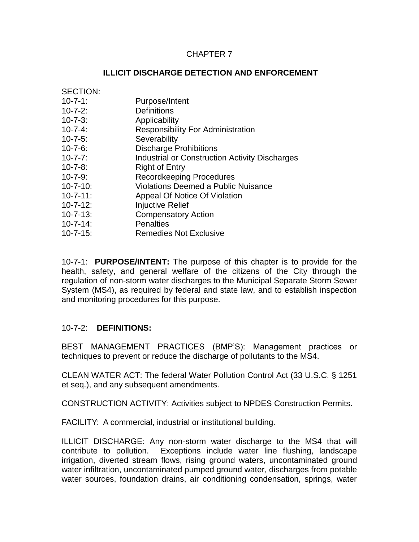### CHAPTER 7

### **ILLICIT DISCHARGE DETECTION AND ENFORCEMENT**

10-7-1: **PURPOSE/INTENT:** The purpose of this chapter is to provide for the health, safety, and general welfare of the citizens of the City through the regulation of non-storm water discharges to the Municipal Separate Storm Sewer System (MS4), as required by federal and state law, and to establish inspection and monitoring procedures for this purpose.

### 10-7-2: **DEFINITIONS:**

BEST MANAGEMENT PRACTICES (BMP'S): Management practices or techniques to prevent or reduce the discharge of pollutants to the MS4.

CLEAN WATER ACT: The federal Water Pollution Control Act (33 U.S.C. § 1251 et seq.), and any subsequent amendments.

CONSTRUCTION ACTIVITY: Activities subject to NPDES Construction Permits.

FACILITY: A commercial, industrial or institutional building.

ILLICIT DISCHARGE: Any non-storm water discharge to the MS4 that will contribute to pollution. Exceptions include water line flushing, landscape irrigation, diverted stream flows, rising ground waters, uncontaminated ground water infiltration, uncontaminated pumped ground water, discharges from potable water sources, foundation drains, air conditioning condensation, springs, water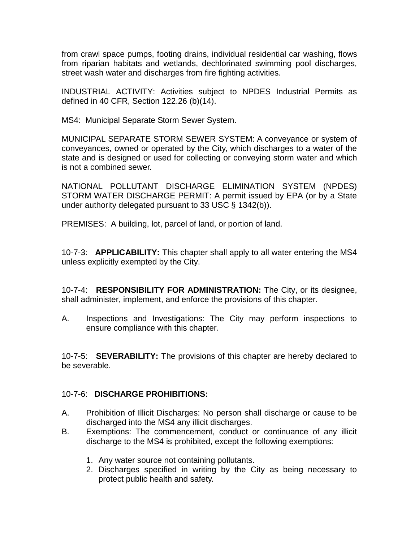from crawl space pumps, footing drains, individual residential car washing, flows from riparian habitats and wetlands, dechlorinated swimming pool discharges, street wash water and discharges from fire fighting activities.

INDUSTRIAL ACTIVITY: Activities subject to NPDES Industrial Permits as defined in 40 CFR, Section 122.26 (b)(14).

MS4: Municipal Separate Storm Sewer System.

MUNICIPAL SEPARATE STORM SEWER SYSTEM: A conveyance or system of conveyances, owned or operated by the City, which discharges to a water of the state and is designed or used for collecting or conveying storm water and which is not a combined sewer.

NATIONAL POLLUTANT DISCHARGE ELIMINATION SYSTEM (NPDES) STORM WATER DISCHARGE PERMIT: A permit issued by EPA (or by a State under authority delegated pursuant to 33 USC § 1342(b)).

PREMISES: A building, lot, parcel of land, or portion of land.

10-7-3: **APPLICABILITY:** This chapter shall apply to all water entering the MS4 unless explicitly exempted by the City.

10-7-4: **RESPONSIBILITY FOR ADMINISTRATION:** The City, or its designee, shall administer, implement, and enforce the provisions of this chapter.

A. Inspections and Investigations: The City may perform inspections to ensure compliance with this chapter.

10-7-5: **SEVERABILITY:** The provisions of this chapter are hereby declared to be severable.

## 10-7-6: **DISCHARGE PROHIBITIONS:**

- A. Prohibition of Illicit Discharges: No person shall discharge or cause to be discharged into the MS4 any illicit discharges.
- B. Exemptions: The commencement, conduct or continuance of any illicit discharge to the MS4 is prohibited, except the following exemptions:
	- 1. Any water source not containing pollutants.
	- 2. Discharges specified in writing by the City as being necessary to protect public health and safety.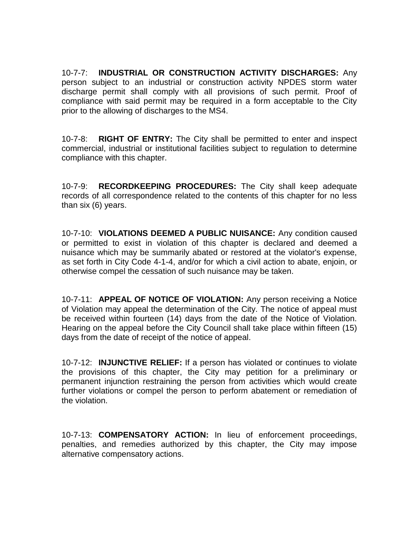10-7-7: **INDUSTRIAL OR CONSTRUCTION ACTIVITY DISCHARGES:** Any person subject to an industrial or construction activity NPDES storm water discharge permit shall comply with all provisions of such permit. Proof of compliance with said permit may be required in a form acceptable to the City prior to the allowing of discharges to the MS4.

10-7-8: **RIGHT OF ENTRY:** The City shall be permitted to enter and inspect commercial, industrial or institutional facilities subject to regulation to determine compliance with this chapter.

10-7-9: **RECORDKEEPING PROCEDURES:** The City shall keep adequate records of all correspondence related to the contents of this chapter for no less than six (6) years.

10-7-10: **VIOLATIONS DEEMED A PUBLIC NUISANCE:** Any condition caused or permitted to exist in violation of this chapter is declared and deemed a nuisance which may be summarily abated or restored at the violator's expense, as set forth in City Code 4-1-4, and/or for which a civil action to abate, enjoin, or otherwise compel the cessation of such nuisance may be taken.

10-7-11: **APPEAL OF NOTICE OF VIOLATION:** Any person receiving a Notice of Violation may appeal the determination of the City. The notice of appeal must be received within fourteen (14) days from the date of the Notice of Violation. Hearing on the appeal before the City Council shall take place within fifteen (15) days from the date of receipt of the notice of appeal.

10-7-12: **INJUNCTIVE RELIEF:** If a person has violated or continues to violate the provisions of this chapter, the City may petition for a preliminary or permanent injunction restraining the person from activities which would create further violations or compel the person to perform abatement or remediation of the violation.

10-7-13: **COMPENSATORY ACTION:** In lieu of enforcement proceedings, penalties, and remedies authorized by this chapter, the City may impose alternative compensatory actions.